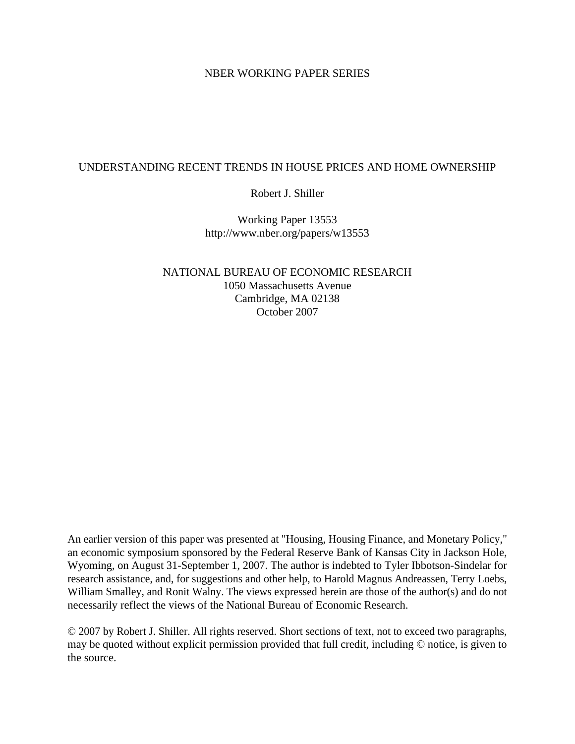## NBER WORKING PAPER SERIES

## UNDERSTANDING RECENT TRENDS IN HOUSE PRICES AND HOME OWNERSHIP

Robert J. Shiller

Working Paper 13553 http://www.nber.org/papers/w13553

NATIONAL BUREAU OF ECONOMIC RESEARCH 1050 Massachusetts Avenue Cambridge, MA 02138 October 2007

An earlier version of this paper was presented at "Housing, Housing Finance, and Monetary Policy," an economic symposium sponsored by the Federal Reserve Bank of Kansas City in Jackson Hole, Wyoming, on August 31-September 1, 2007. The author is indebted to Tyler Ibbotson-Sindelar for research assistance, and, for suggestions and other help, to Harold Magnus Andreassen, Terry Loebs, William Smalley, and Ronit Walny. The views expressed herein are those of the author(s) and do not necessarily reflect the views of the National Bureau of Economic Research.

© 2007 by Robert J. Shiller. All rights reserved. Short sections of text, not to exceed two paragraphs, may be quoted without explicit permission provided that full credit, including © notice, is given to the source.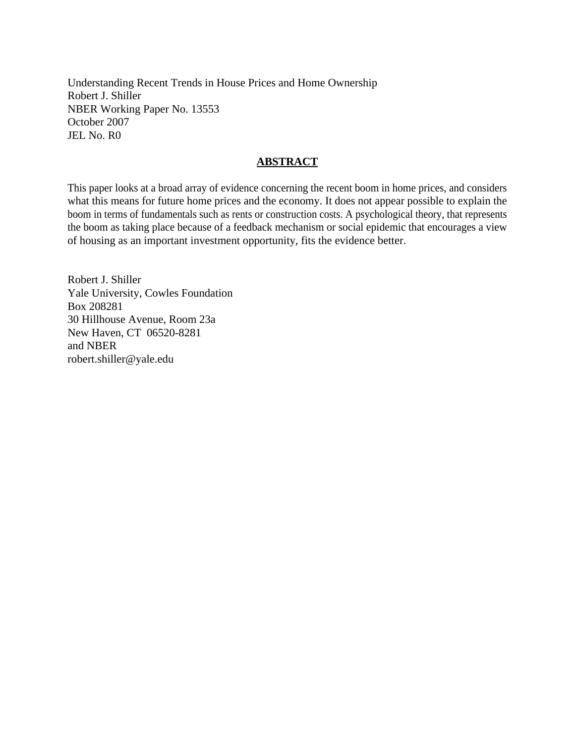Understanding Recent Trends in House Prices and Home Ownership Robert J. Shiller NBER Working Paper No. 13553 October 2007 JEL No. R0

## **ABSTRACT**

This paper looks at a broad array of evidence concerning the recent boom in home prices, and considers what this means for future home prices and the economy. It does not appear possible to explain the boom in terms of fundamentals such as rents or construction costs. A psychological theory, that represents the boom as taking place because of a feedback mechanism or social epidemic that encourages a view of housing as an important investment opportunity, fits the evidence better.

Robert J. Shiller Yale University, Cowles Foundation Box 208281 30 Hillhouse Avenue, Room 23a New Haven, CT 06520-8281 and NBER robert.shiller@yale.edu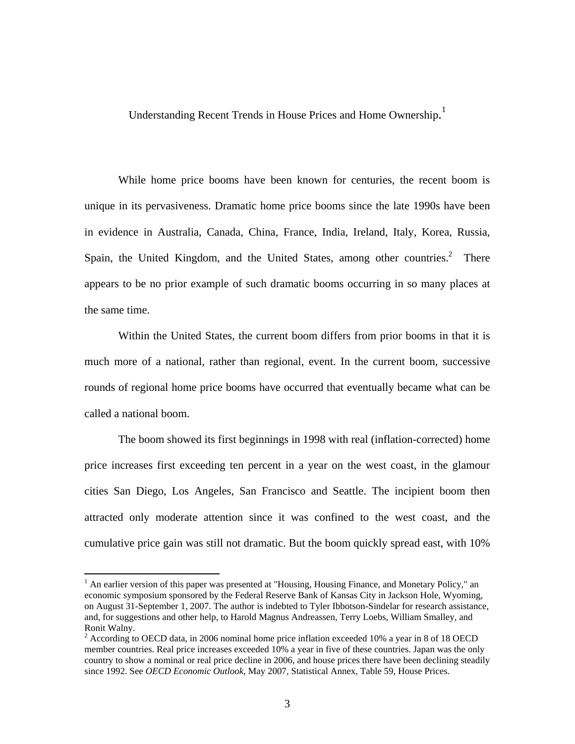Understanding Recent Trends in House Prices and Home Ownership.<sup>1</sup>

 While home price booms have been known for centuries, the recent boom is unique in its pervasiveness. Dramatic home price booms since the late 1990s have been in evidence in Australia, Canada, China, France, India, Ireland, Italy, Korea, Russia, Spain, the United Kingdom, and the United States, among other countries. $^2$  There appears to be no prior example of such dramatic booms occurring in so many places at the same time.

Within the United States, the current boom differs from prior booms in that it is much more of a national, rather than regional, event. In the current boom, successive rounds of regional home price booms have occurred that eventually became what can be called a national boom.

The boom showed its first beginnings in 1998 with real (inflation-corrected) home price increases first exceeding ten percent in a year on the west coast, in the glamour cities San Diego, Los Angeles, San Francisco and Seattle. The incipient boom then attracted only moderate attention since it was confined to the west coast, and the cumulative price gain was still not dramatic. But the boom quickly spread east, with 10%

<sup>&</sup>lt;sup>1</sup> An earlier version of this paper was presented at "Housing, Housing Finance, and Monetary Policy," an economic symposium sponsored by the Federal Reserve Bank of Kansas City in Jackson Hole, Wyoming, on August 31-September 1, 2007. The author is indebted to Tyler Ibbotson-Sindelar for research assistance, and, for suggestions and other help, to Harold Magnus Andreassen, Terry Loebs, William Smalley, and Ronit Walny.

 $2 \text{ According to OECD data, in 2006 nominal home price inflation exceeded 10% a year in 8 of 18 OECD}$ member countries. Real price increases exceeded 10% a year in five of these countries. Japan was the only country to show a nominal or real price decline in 2006, and house prices there have been declining steadily since 1992. See *OECD Economic Outlook*, May 2007, Statistical Annex, Table 59, House Prices.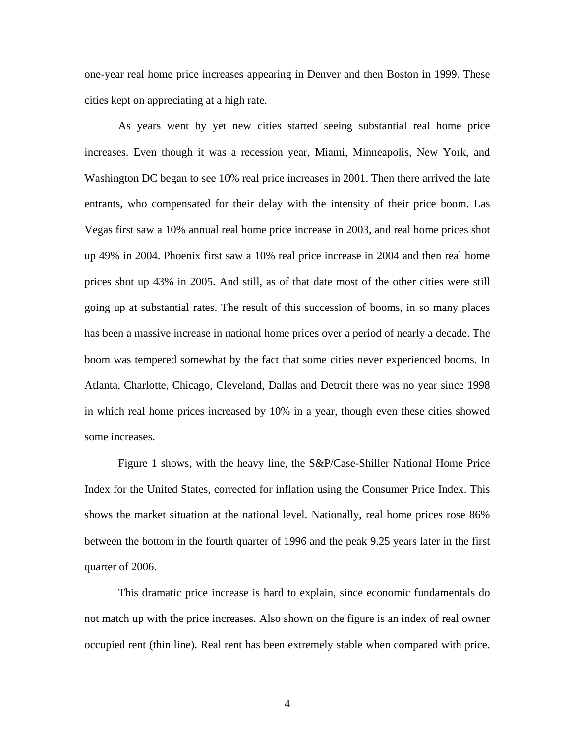one-year real home price increases appearing in Denver and then Boston in 1999. These cities kept on appreciating at a high rate.

As years went by yet new cities started seeing substantial real home price increases. Even though it was a recession year, Miami, Minneapolis, New York, and Washington DC began to see 10% real price increases in 2001. Then there arrived the late entrants, who compensated for their delay with the intensity of their price boom. Las Vegas first saw a 10% annual real home price increase in 2003, and real home prices shot up 49% in 2004. Phoenix first saw a 10% real price increase in 2004 and then real home prices shot up 43% in 2005. And still, as of that date most of the other cities were still going up at substantial rates. The result of this succession of booms, in so many places has been a massive increase in national home prices over a period of nearly a decade. The boom was tempered somewhat by the fact that some cities never experienced booms. In Atlanta, Charlotte, Chicago, Cleveland, Dallas and Detroit there was no year since 1998 in which real home prices increased by 10% in a year, though even these cities showed some increases.

Figure 1 shows, with the heavy line, the S&P/Case-Shiller National Home Price Index for the United States, corrected for inflation using the Consumer Price Index. This shows the market situation at the national level. Nationally, real home prices rose 86% between the bottom in the fourth quarter of 1996 and the peak 9.25 years later in the first quarter of 2006.

This dramatic price increase is hard to explain, since economic fundamentals do not match up with the price increases. Also shown on the figure is an index of real owner occupied rent (thin line). Real rent has been extremely stable when compared with price.

4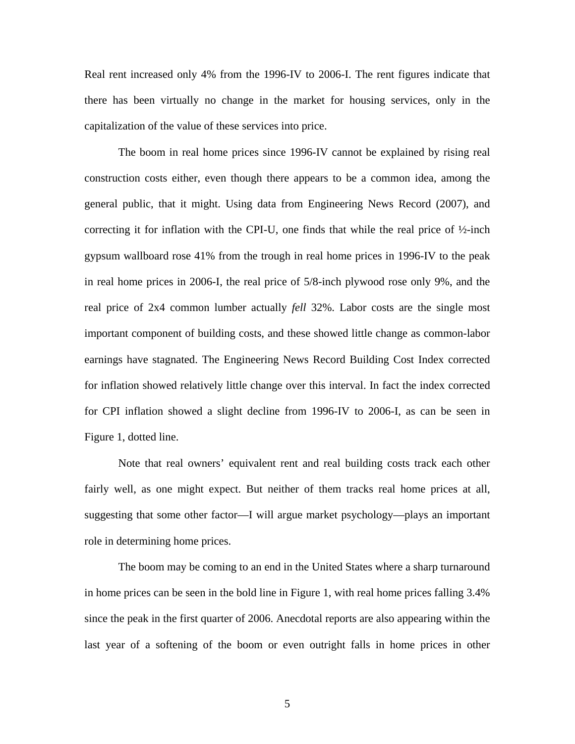Real rent increased only 4% from the 1996-IV to 2006-I. The rent figures indicate that there has been virtually no change in the market for housing services, only in the capitalization of the value of these services into price.

The boom in real home prices since 1996-IV cannot be explained by rising real construction costs either, even though there appears to be a common idea, among the general public, that it might. Using data from Engineering News Record (2007), and correcting it for inflation with the CPI-U, one finds that while the real price of  $\frac{1}{2}$ -inch gypsum wallboard rose 41% from the trough in real home prices in 1996-IV to the peak in real home prices in 2006-I, the real price of 5/8-inch plywood rose only 9%, and the real price of 2x4 common lumber actually *fell* 32%. Labor costs are the single most important component of building costs, and these showed little change as common-labor earnings have stagnated. The Engineering News Record Building Cost Index corrected for inflation showed relatively little change over this interval. In fact the index corrected for CPI inflation showed a slight decline from 1996-IV to 2006-I, as can be seen in Figure 1, dotted line.

Note that real owners' equivalent rent and real building costs track each other fairly well, as one might expect. But neither of them tracks real home prices at all, suggesting that some other factor—I will argue market psychology—plays an important role in determining home prices.

The boom may be coming to an end in the United States where a sharp turnaround in home prices can be seen in the bold line in Figure 1, with real home prices falling 3.4% since the peak in the first quarter of 2006. Anecdotal reports are also appearing within the last year of a softening of the boom or even outright falls in home prices in other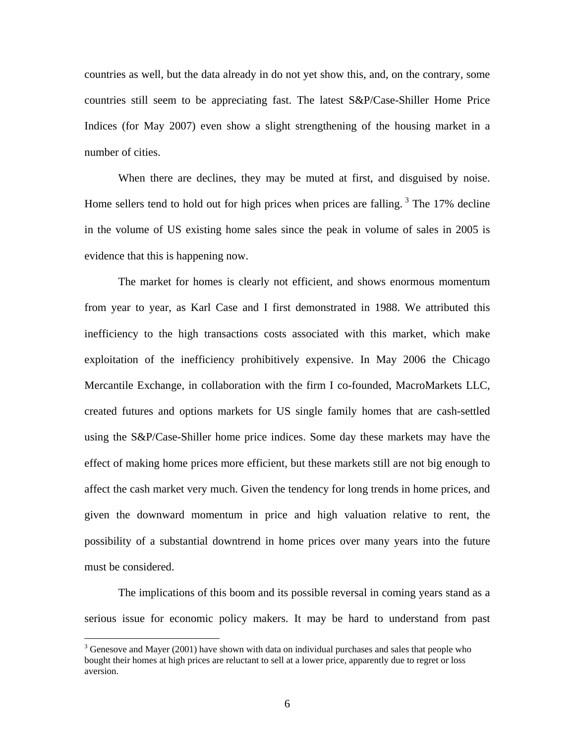countries as well, but the data already in do not yet show this, and, on the contrary, some countries still seem to be appreciating fast. The latest S&P/Case-Shiller Home Price Indices (for May 2007) even show a slight strengthening of the housing market in a number of cities.

When there are declines, they may be muted at first, and disguised by noise. Home sellers tend to hold out for high prices when prices are falling.<sup>3</sup> The  $17\%$  decline in the volume of US existing home sales since the peak in volume of sales in 2005 is evidence that this is happening now.

The market for homes is clearly not efficient, and shows enormous momentum from year to year, as Karl Case and I first demonstrated in 1988. We attributed this inefficiency to the high transactions costs associated with this market, which make exploitation of the inefficiency prohibitively expensive. In May 2006 the Chicago Mercantile Exchange, in collaboration with the firm I co-founded, MacroMarkets LLC, created futures and options markets for US single family homes that are cash-settled using the S&P/Case-Shiller home price indices. Some day these markets may have the effect of making home prices more efficient, but these markets still are not big enough to affect the cash market very much. Given the tendency for long trends in home prices, and given the downward momentum in price and high valuation relative to rent, the possibility of a substantial downtrend in home prices over many years into the future must be considered.

The implications of this boom and its possible reversal in coming years stand as a serious issue for economic policy makers. It may be hard to understand from past

 $3$  Genesove and Mayer (2001) have shown with data on individual purchases and sales that people who bought their homes at high prices are reluctant to sell at a lower price, apparently due to regret or loss aversion.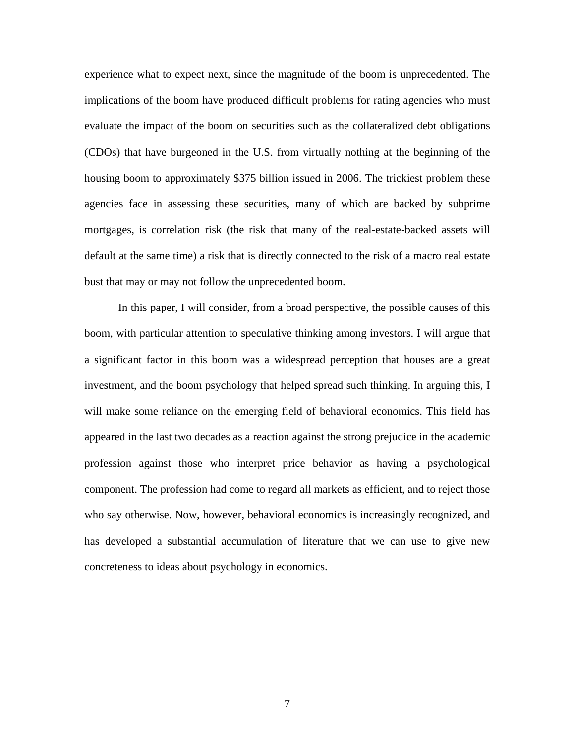experience what to expect next, since the magnitude of the boom is unprecedented. The implications of the boom have produced difficult problems for rating agencies who must evaluate the impact of the boom on securities such as the collateralized debt obligations (CDOs) that have burgeoned in the U.S. from virtually nothing at the beginning of the housing boom to approximately \$375 billion issued in 2006. The trickiest problem these agencies face in assessing these securities, many of which are backed by subprime mortgages, is correlation risk (the risk that many of the real-estate-backed assets will default at the same time) a risk that is directly connected to the risk of a macro real estate bust that may or may not follow the unprecedented boom.

 In this paper, I will consider, from a broad perspective, the possible causes of this boom, with particular attention to speculative thinking among investors. I will argue that a significant factor in this boom was a widespread perception that houses are a great investment, and the boom psychology that helped spread such thinking. In arguing this, I will make some reliance on the emerging field of behavioral economics. This field has appeared in the last two decades as a reaction against the strong prejudice in the academic profession against those who interpret price behavior as having a psychological component. The profession had come to regard all markets as efficient, and to reject those who say otherwise. Now, however, behavioral economics is increasingly recognized, and has developed a substantial accumulation of literature that we can use to give new concreteness to ideas about psychology in economics.

7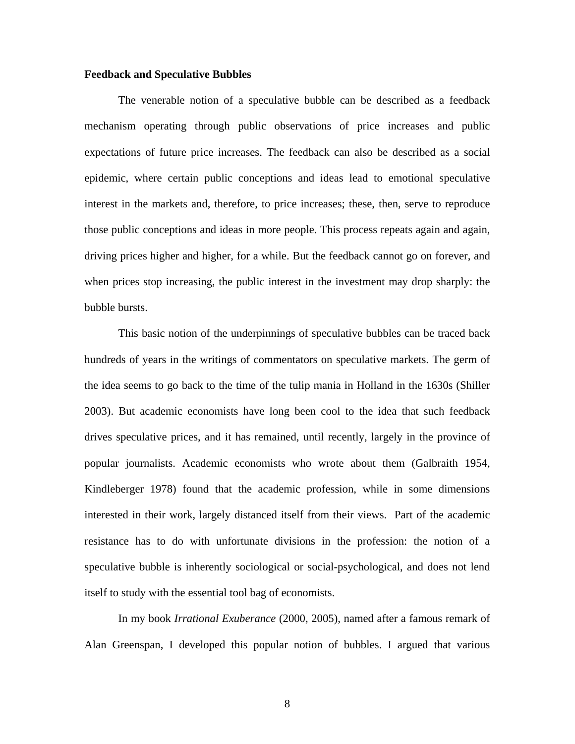#### **Feedback and Speculative Bubbles**

 The venerable notion of a speculative bubble can be described as a feedback mechanism operating through public observations of price increases and public expectations of future price increases. The feedback can also be described as a social epidemic, where certain public conceptions and ideas lead to emotional speculative interest in the markets and, therefore, to price increases; these, then, serve to reproduce those public conceptions and ideas in more people. This process repeats again and again, driving prices higher and higher, for a while. But the feedback cannot go on forever, and when prices stop increasing, the public interest in the investment may drop sharply: the bubble bursts.

This basic notion of the underpinnings of speculative bubbles can be traced back hundreds of years in the writings of commentators on speculative markets. The germ of the idea seems to go back to the time of the tulip mania in Holland in the 1630s (Shiller 2003). But academic economists have long been cool to the idea that such feedback drives speculative prices, and it has remained, until recently, largely in the province of popular journalists. Academic economists who wrote about them (Galbraith 1954, Kindleberger 1978) found that the academic profession, while in some dimensions interested in their work, largely distanced itself from their views. Part of the academic resistance has to do with unfortunate divisions in the profession: the notion of a speculative bubble is inherently sociological or social-psychological, and does not lend itself to study with the essential tool bag of economists.

In my book *Irrational Exuberance* (2000, 2005), named after a famous remark of Alan Greenspan, I developed this popular notion of bubbles. I argued that various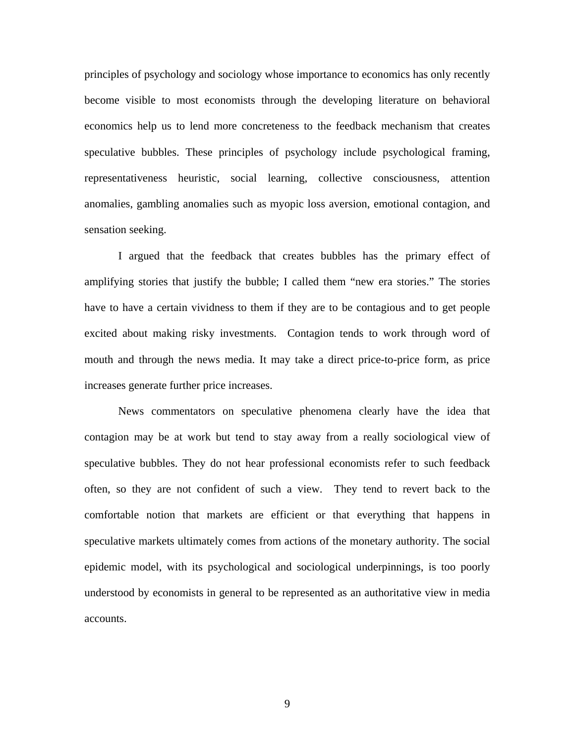principles of psychology and sociology whose importance to economics has only recently become visible to most economists through the developing literature on behavioral economics help us to lend more concreteness to the feedback mechanism that creates speculative bubbles. These principles of psychology include psychological framing, representativeness heuristic, social learning, collective consciousness, attention anomalies, gambling anomalies such as myopic loss aversion, emotional contagion, and sensation seeking.

I argued that the feedback that creates bubbles has the primary effect of amplifying stories that justify the bubble; I called them "new era stories." The stories have to have a certain vividness to them if they are to be contagious and to get people excited about making risky investments. Contagion tends to work through word of mouth and through the news media. It may take a direct price-to-price form, as price increases generate further price increases.

News commentators on speculative phenomena clearly have the idea that contagion may be at work but tend to stay away from a really sociological view of speculative bubbles. They do not hear professional economists refer to such feedback often, so they are not confident of such a view. They tend to revert back to the comfortable notion that markets are efficient or that everything that happens in speculative markets ultimately comes from actions of the monetary authority. The social epidemic model, with its psychological and sociological underpinnings, is too poorly understood by economists in general to be represented as an authoritative view in media accounts.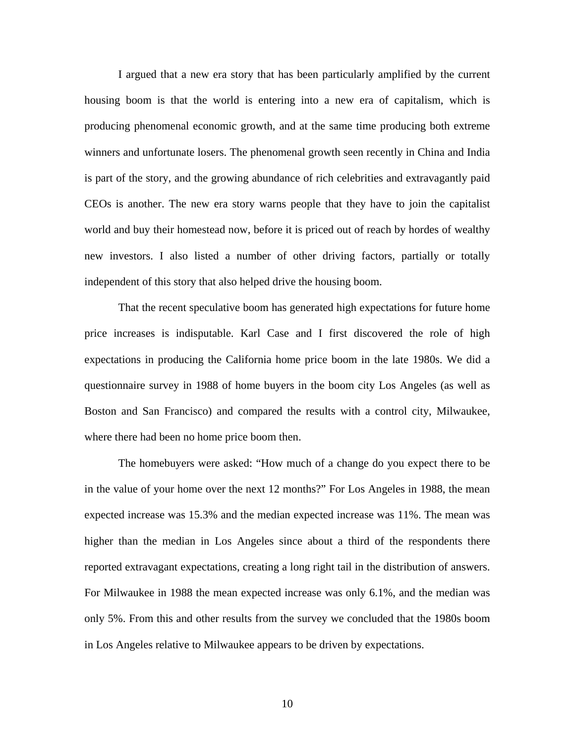I argued that a new era story that has been particularly amplified by the current housing boom is that the world is entering into a new era of capitalism, which is producing phenomenal economic growth, and at the same time producing both extreme winners and unfortunate losers. The phenomenal growth seen recently in China and India is part of the story, and the growing abundance of rich celebrities and extravagantly paid CEOs is another. The new era story warns people that they have to join the capitalist world and buy their homestead now, before it is priced out of reach by hordes of wealthy new investors. I also listed a number of other driving factors, partially or totally independent of this story that also helped drive the housing boom.

 That the recent speculative boom has generated high expectations for future home price increases is indisputable. Karl Case and I first discovered the role of high expectations in producing the California home price boom in the late 1980s. We did a questionnaire survey in 1988 of home buyers in the boom city Los Angeles (as well as Boston and San Francisco) and compared the results with a control city, Milwaukee, where there had been no home price boom then.

The homebuyers were asked: "How much of a change do you expect there to be in the value of your home over the next 12 months?" For Los Angeles in 1988, the mean expected increase was 15.3% and the median expected increase was 11%. The mean was higher than the median in Los Angeles since about a third of the respondents there reported extravagant expectations, creating a long right tail in the distribution of answers. For Milwaukee in 1988 the mean expected increase was only 6.1%, and the median was only 5%. From this and other results from the survey we concluded that the 1980s boom in Los Angeles relative to Milwaukee appears to be driven by expectations.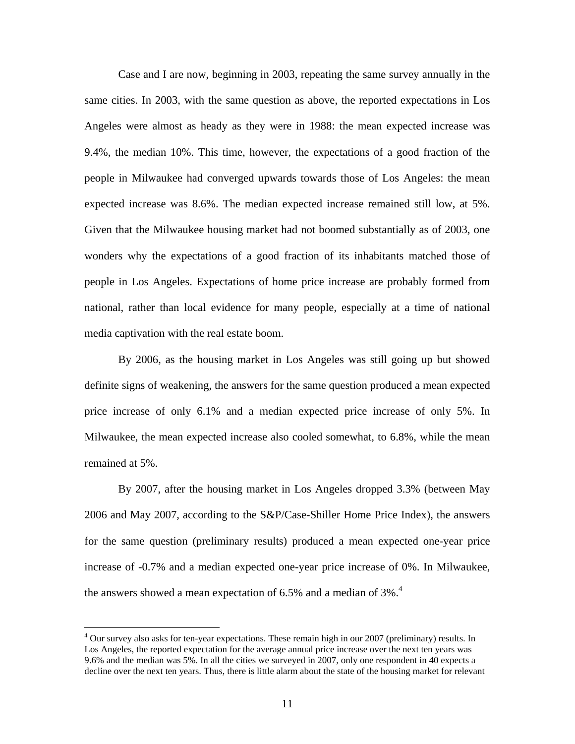Case and I are now, beginning in 2003, repeating the same survey annually in the same cities. In 2003, with the same question as above, the reported expectations in Los Angeles were almost as heady as they were in 1988: the mean expected increase was 9.4%, the median 10%. This time, however, the expectations of a good fraction of the people in Milwaukee had converged upwards towards those of Los Angeles: the mean expected increase was 8.6%. The median expected increase remained still low, at 5%. Given that the Milwaukee housing market had not boomed substantially as of 2003, one wonders why the expectations of a good fraction of its inhabitants matched those of people in Los Angeles. Expectations of home price increase are probably formed from national, rather than local evidence for many people, especially at a time of national media captivation with the real estate boom.

By 2006, as the housing market in Los Angeles was still going up but showed definite signs of weakening, the answers for the same question produced a mean expected price increase of only 6.1% and a median expected price increase of only 5%. In Milwaukee, the mean expected increase also cooled somewhat, to 6.8%, while the mean remained at 5%.

By 2007, after the housing market in Los Angeles dropped 3.3% (between May 2006 and May 2007, according to the S&P/Case-Shiller Home Price Index), the answers for the same question (preliminary results) produced a mean expected one-year price increase of -0.7% and a median expected one-year price increase of 0%. In Milwaukee, the answers showed a mean expectation of 6.5% and a median of 3%.<sup>4</sup>

<u>.</u>

<sup>&</sup>lt;sup>4</sup> Our survey also asks for ten-year expectations. These remain high in our 2007 (preliminary) results. In Los Angeles, the reported expectation for the average annual price increase over the next ten years was 9.6% and the median was 5%. In all the cities we surveyed in 2007, only one respondent in 40 expects a decline over the next ten years. Thus, there is little alarm about the state of the housing market for relevant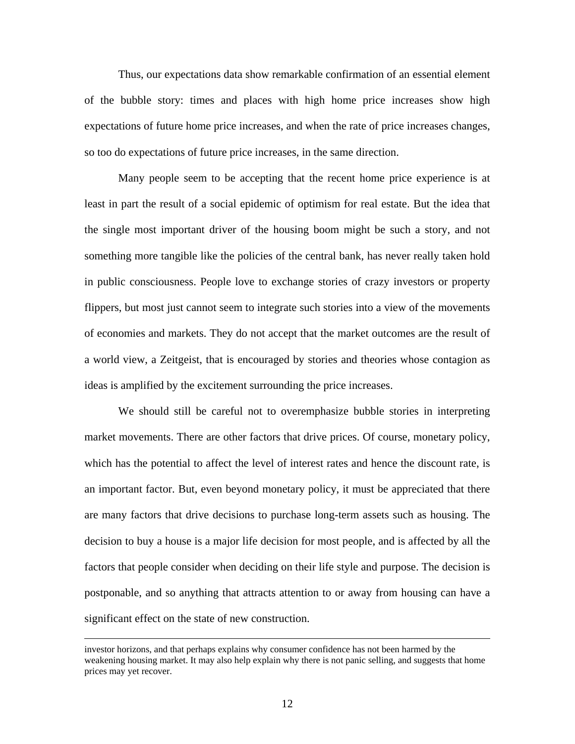Thus, our expectations data show remarkable confirmation of an essential element of the bubble story: times and places with high home price increases show high expectations of future home price increases, and when the rate of price increases changes, so too do expectations of future price increases, in the same direction.

 Many people seem to be accepting that the recent home price experience is at least in part the result of a social epidemic of optimism for real estate. But the idea that the single most important driver of the housing boom might be such a story, and not something more tangible like the policies of the central bank, has never really taken hold in public consciousness. People love to exchange stories of crazy investors or property flippers, but most just cannot seem to integrate such stories into a view of the movements of economies and markets. They do not accept that the market outcomes are the result of a world view, a Zeitgeist, that is encouraged by stories and theories whose contagion as ideas is amplified by the excitement surrounding the price increases.

 We should still be careful not to overemphasize bubble stories in interpreting market movements. There are other factors that drive prices. Of course, monetary policy, which has the potential to affect the level of interest rates and hence the discount rate, is an important factor. But, even beyond monetary policy, it must be appreciated that there are many factors that drive decisions to purchase long-term assets such as housing. The decision to buy a house is a major life decision for most people, and is affected by all the factors that people consider when deciding on their life style and purpose. The decision is postponable, and so anything that attracts attention to or away from housing can have a significant effect on the state of new construction.

investor horizons, and that perhaps explains why consumer confidence has not been harmed by the weakening housing market. It may also help explain why there is not panic selling, and suggests that home prices may yet recover.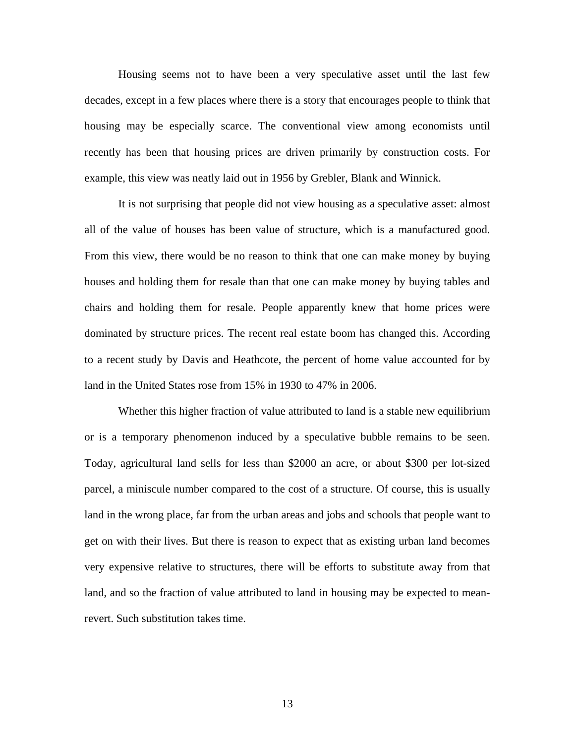Housing seems not to have been a very speculative asset until the last few decades, except in a few places where there is a story that encourages people to think that housing may be especially scarce. The conventional view among economists until recently has been that housing prices are driven primarily by construction costs. For example, this view was neatly laid out in 1956 by Grebler, Blank and Winnick.

It is not surprising that people did not view housing as a speculative asset: almost all of the value of houses has been value of structure, which is a manufactured good. From this view, there would be no reason to think that one can make money by buying houses and holding them for resale than that one can make money by buying tables and chairs and holding them for resale. People apparently knew that home prices were dominated by structure prices. The recent real estate boom has changed this. According to a recent study by Davis and Heathcote, the percent of home value accounted for by land in the United States rose from 15% in 1930 to 47% in 2006.

Whether this higher fraction of value attributed to land is a stable new equilibrium or is a temporary phenomenon induced by a speculative bubble remains to be seen. Today, agricultural land sells for less than \$2000 an acre, or about \$300 per lot-sized parcel, a miniscule number compared to the cost of a structure. Of course, this is usually land in the wrong place, far from the urban areas and jobs and schools that people want to get on with their lives. But there is reason to expect that as existing urban land becomes very expensive relative to structures, there will be efforts to substitute away from that land, and so the fraction of value attributed to land in housing may be expected to meanrevert. Such substitution takes time.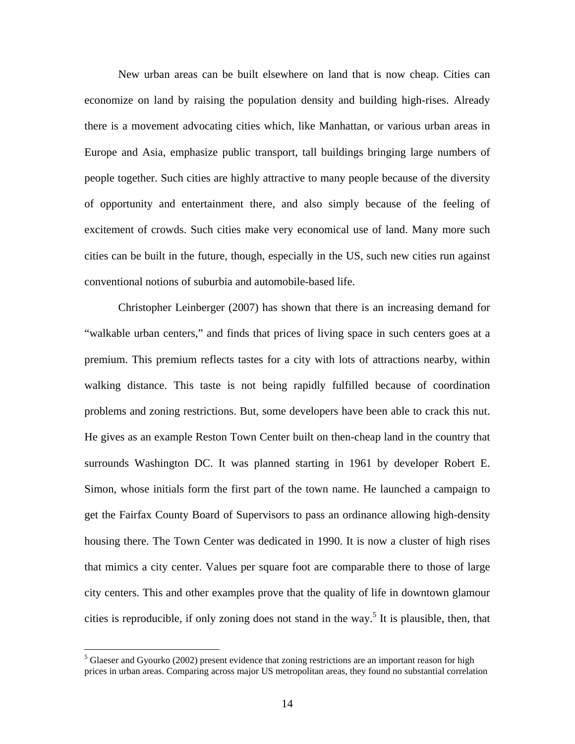New urban areas can be built elsewhere on land that is now cheap. Cities can economize on land by raising the population density and building high-rises. Already there is a movement advocating cities which, like Manhattan, or various urban areas in Europe and Asia, emphasize public transport, tall buildings bringing large numbers of people together. Such cities are highly attractive to many people because of the diversity of opportunity and entertainment there, and also simply because of the feeling of excitement of crowds. Such cities make very economical use of land. Many more such cities can be built in the future, though, especially in the US, such new cities run against conventional notions of suburbia and automobile-based life.

Christopher Leinberger (2007) has shown that there is an increasing demand for "walkable urban centers," and finds that prices of living space in such centers goes at a premium. This premium reflects tastes for a city with lots of attractions nearby, within walking distance. This taste is not being rapidly fulfilled because of coordination problems and zoning restrictions. But, some developers have been able to crack this nut. He gives as an example Reston Town Center built on then-cheap land in the country that surrounds Washington DC. It was planned starting in 1961 by developer Robert E. Simon, whose initials form the first part of the town name. He launched a campaign to get the Fairfax County Board of Supervisors to pass an ordinance allowing high-density housing there. The Town Center was dedicated in 1990. It is now a cluster of high rises that mimics a city center. Values per square foot are comparable there to those of large city centers. This and other examples prove that the quality of life in downtown glamour cities is reproducible, if only zoning does not stand in the way.<sup>5</sup> It is plausible, then, that

<sup>&</sup>lt;sup>5</sup> Glaeser and Gyourko (2002) present evidence that zoning restrictions are an important reason for high prices in urban areas. Comparing across major US metropolitan areas, they found no substantial correlation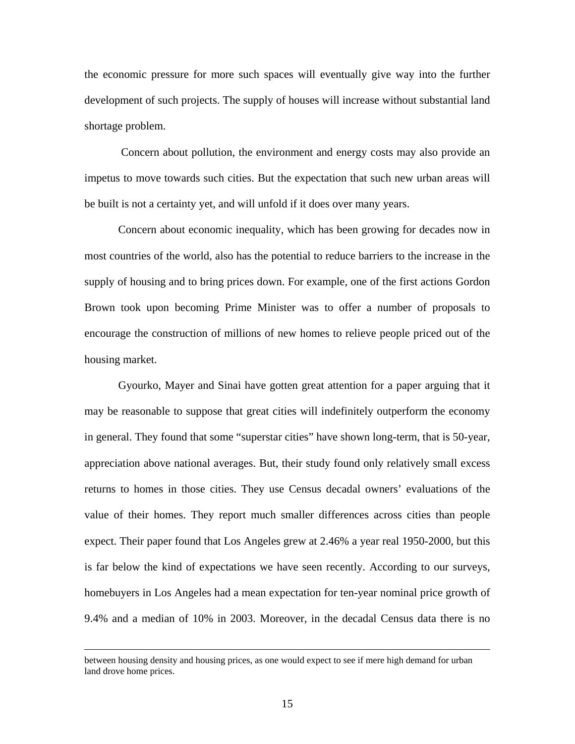the economic pressure for more such spaces will eventually give way into the further development of such projects. The supply of houses will increase without substantial land shortage problem.

 Concern about pollution, the environment and energy costs may also provide an impetus to move towards such cities. But the expectation that such new urban areas will be built is not a certainty yet, and will unfold if it does over many years.

Concern about economic inequality, which has been growing for decades now in most countries of the world, also has the potential to reduce barriers to the increase in the supply of housing and to bring prices down. For example, one of the first actions Gordon Brown took upon becoming Prime Minister was to offer a number of proposals to encourage the construction of millions of new homes to relieve people priced out of the housing market.

Gyourko, Mayer and Sinai have gotten great attention for a paper arguing that it may be reasonable to suppose that great cities will indefinitely outperform the economy in general. They found that some "superstar cities" have shown long-term, that is 50-year, appreciation above national averages. But, their study found only relatively small excess returns to homes in those cities. They use Census decadal owners' evaluations of the value of their homes. They report much smaller differences across cities than people expect. Their paper found that Los Angeles grew at 2.46% a year real 1950-2000, but this is far below the kind of expectations we have seen recently. According to our surveys, homebuyers in Los Angeles had a mean expectation for ten-year nominal price growth of 9.4% and a median of 10% in 2003. Moreover, in the decadal Census data there is no

between housing density and housing prices, as one would expect to see if mere high demand for urban land drove home prices.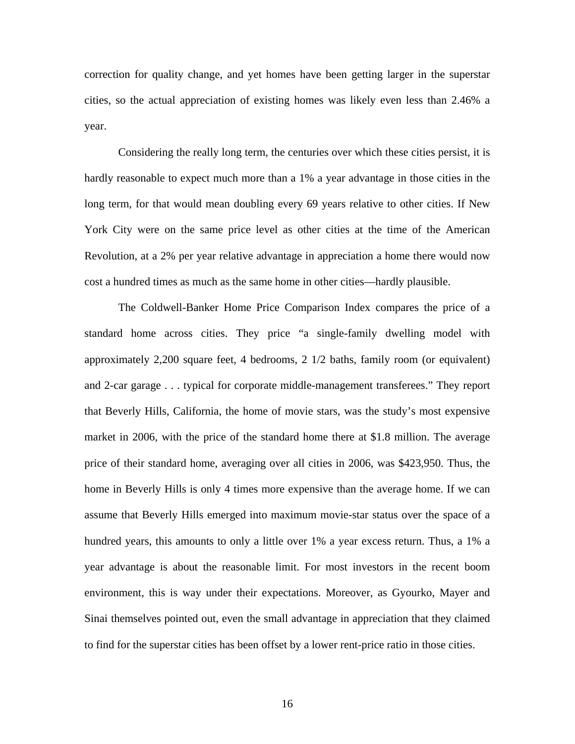correction for quality change, and yet homes have been getting larger in the superstar cities, so the actual appreciation of existing homes was likely even less than 2.46% a year.

Considering the really long term, the centuries over which these cities persist, it is hardly reasonable to expect much more than a 1% a year advantage in those cities in the long term, for that would mean doubling every 69 years relative to other cities. If New York City were on the same price level as other cities at the time of the American Revolution, at a 2% per year relative advantage in appreciation a home there would now cost a hundred times as much as the same home in other cities—hardly plausible.

The Coldwell-Banker Home Price Comparison Index compares the price of a standard home across cities. They price "a single-family dwelling model with approximately 2,200 square feet, 4 bedrooms, 2 1/2 baths, family room (or equivalent) and 2-car garage . . . typical for corporate middle-management transferees." They report that Beverly Hills, California, the home of movie stars, was the study's most expensive market in 2006, with the price of the standard home there at \$1.8 million. The average price of their standard home, averaging over all cities in 2006, was \$423,950. Thus, the home in Beverly Hills is only 4 times more expensive than the average home. If we can assume that Beverly Hills emerged into maximum movie-star status over the space of a hundred years, this amounts to only a little over 1% a year excess return. Thus, a 1% a year advantage is about the reasonable limit. For most investors in the recent boom environment, this is way under their expectations. Moreover, as Gyourko, Mayer and Sinai themselves pointed out, even the small advantage in appreciation that they claimed to find for the superstar cities has been offset by a lower rent-price ratio in those cities.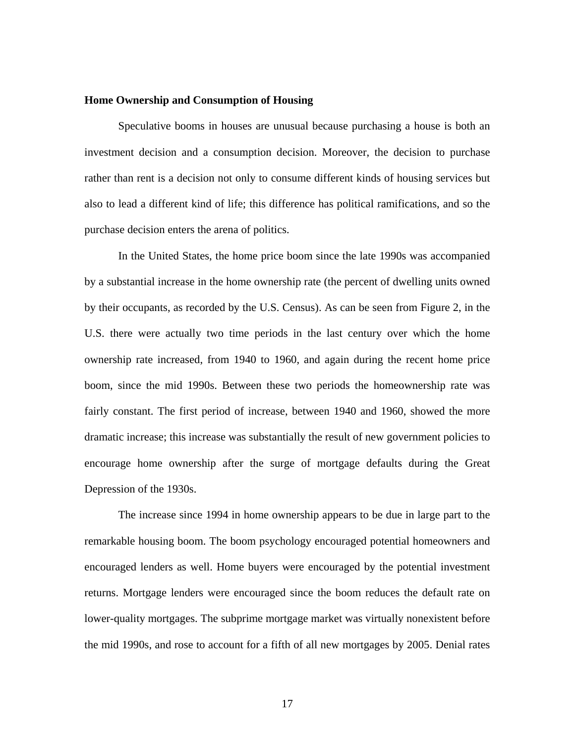### **Home Ownership and Consumption of Housing**

Speculative booms in houses are unusual because purchasing a house is both an investment decision and a consumption decision. Moreover, the decision to purchase rather than rent is a decision not only to consume different kinds of housing services but also to lead a different kind of life; this difference has political ramifications, and so the purchase decision enters the arena of politics.

In the United States, the home price boom since the late 1990s was accompanied by a substantial increase in the home ownership rate (the percent of dwelling units owned by their occupants, as recorded by the U.S. Census). As can be seen from Figure 2, in the U.S. there were actually two time periods in the last century over which the home ownership rate increased, from 1940 to 1960, and again during the recent home price boom, since the mid 1990s. Between these two periods the homeownership rate was fairly constant. The first period of increase, between 1940 and 1960, showed the more dramatic increase; this increase was substantially the result of new government policies to encourage home ownership after the surge of mortgage defaults during the Great Depression of the 1930s.

The increase since 1994 in home ownership appears to be due in large part to the remarkable housing boom. The boom psychology encouraged potential homeowners and encouraged lenders as well. Home buyers were encouraged by the potential investment returns. Mortgage lenders were encouraged since the boom reduces the default rate on lower-quality mortgages. The subprime mortgage market was virtually nonexistent before the mid 1990s, and rose to account for a fifth of all new mortgages by 2005. Denial rates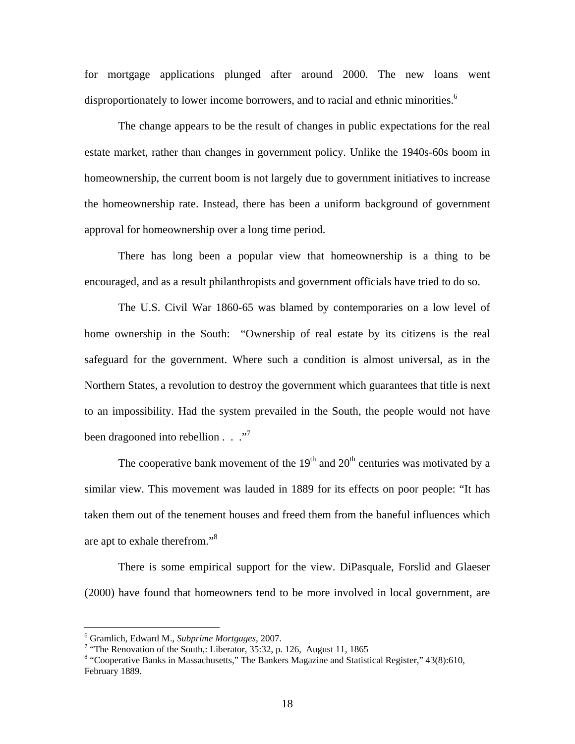for mortgage applications plunged after around 2000. The new loans went disproportionately to lower income borrowers, and to racial and ethnic minorities.<sup>6</sup>

The change appears to be the result of changes in public expectations for the real estate market, rather than changes in government policy. Unlike the 1940s-60s boom in homeownership, the current boom is not largely due to government initiatives to increase the homeownership rate. Instead, there has been a uniform background of government approval for homeownership over a long time period.

There has long been a popular view that homeownership is a thing to be encouraged, and as a result philanthropists and government officials have tried to do so.

The U.S. Civil War 1860-65 was blamed by contemporaries on a low level of home ownership in the South: "Ownership of real estate by its citizens is the real safeguard for the government. Where such a condition is almost universal, as in the Northern States, a revolution to destroy the government which guarantees that title is next to an impossibility. Had the system prevailed in the South, the people would not have been dragooned into rebellion  $\ldots$  ."<sup>7</sup>

The cooperative bank movement of the  $19<sup>th</sup>$  and  $20<sup>th</sup>$  centuries was motivated by a similar view. This movement was lauded in 1889 for its effects on poor people: "It has taken them out of the tenement houses and freed them from the baneful influences which are apt to exhale therefrom."<sup>8</sup>

There is some empirical support for the view. DiPasquale, Forslid and Glaeser (2000) have found that homeowners tend to be more involved in local government, are

 $6$  Gramlich, Edward M., Subprime Mortgages, 2007.

<sup>&</sup>lt;sup>6</sup> Gramlich, Edward M., *Subprime Mortgages*, 2007.<br><sup>7</sup> "The Renovation of the South,: Liberator, 35:32, p. 126, August 11, 1865

<sup>&</sup>lt;sup>8</sup> "Cooperative Banks in Massachusetts," The Bankers Magazine and Statistical Register," 43(8):610, February 1889.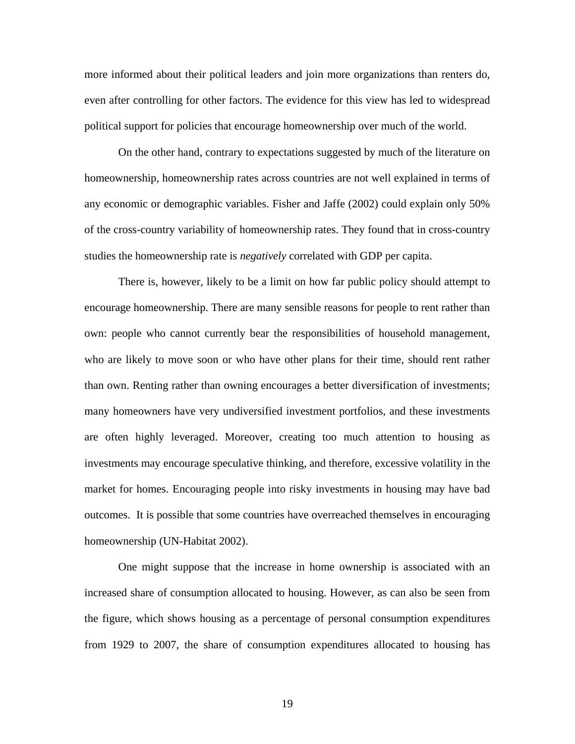more informed about their political leaders and join more organizations than renters do, even after controlling for other factors. The evidence for this view has led to widespread political support for policies that encourage homeownership over much of the world.

 On the other hand, contrary to expectations suggested by much of the literature on homeownership, homeownership rates across countries are not well explained in terms of any economic or demographic variables. Fisher and Jaffe (2002) could explain only 50% of the cross-country variability of homeownership rates. They found that in cross-country studies the homeownership rate is *negatively* correlated with GDP per capita.

 There is, however, likely to be a limit on how far public policy should attempt to encourage homeownership. There are many sensible reasons for people to rent rather than own: people who cannot currently bear the responsibilities of household management, who are likely to move soon or who have other plans for their time, should rent rather than own. Renting rather than owning encourages a better diversification of investments; many homeowners have very undiversified investment portfolios, and these investments are often highly leveraged. Moreover, creating too much attention to housing as investments may encourage speculative thinking, and therefore, excessive volatility in the market for homes. Encouraging people into risky investments in housing may have bad outcomes. It is possible that some countries have overreached themselves in encouraging homeownership (UN-Habitat 2002).

 One might suppose that the increase in home ownership is associated with an increased share of consumption allocated to housing. However, as can also be seen from the figure, which shows housing as a percentage of personal consumption expenditures from 1929 to 2007, the share of consumption expenditures allocated to housing has

19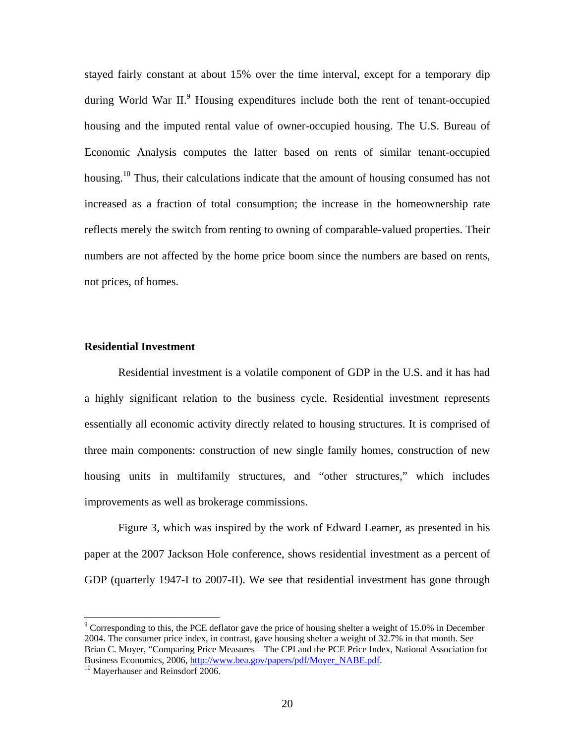stayed fairly constant at about 15% over the time interval, except for a temporary dip during World War II.<sup>9</sup> Housing expenditures include both the rent of tenant-occupied housing and the imputed rental value of owner-occupied housing. The U.S. Bureau of Economic Analysis computes the latter based on rents of similar tenant-occupied housing.<sup>10</sup> Thus, their calculations indicate that the amount of housing consumed has not increased as a fraction of total consumption; the increase in the homeownership rate reflects merely the switch from renting to owning of comparable-valued properties. Their numbers are not affected by the home price boom since the numbers are based on rents, not prices, of homes.

# **Residential Investment**

 Residential investment is a volatile component of GDP in the U.S. and it has had a highly significant relation to the business cycle. Residential investment represents essentially all economic activity directly related to housing structures. It is comprised of three main components: construction of new single family homes, construction of new housing units in multifamily structures, and "other structures," which includes improvements as well as brokerage commissions.

Figure 3, which was inspired by the work of Edward Leamer, as presented in his paper at the 2007 Jackson Hole conference, shows residential investment as a percent of GDP (quarterly 1947-I to 2007-II). We see that residential investment has gone through

 $9^9$  Corresponding to this, the PCE deflator gave the price of housing shelter a weight of 15.0% in December 2004. The consumer price index, in contrast, gave housing shelter a weight of 32.7% in that month. See Brian C. Moyer, "Comparing Price Measures—The CPI and the PCE Price Index, National Association for Business Economics, 2006, http://www.bea.gov/papers/pdf/Moyer\_NABE.pdf. <sup>10</sup> Mayerhauser and Reinsdorf 2006.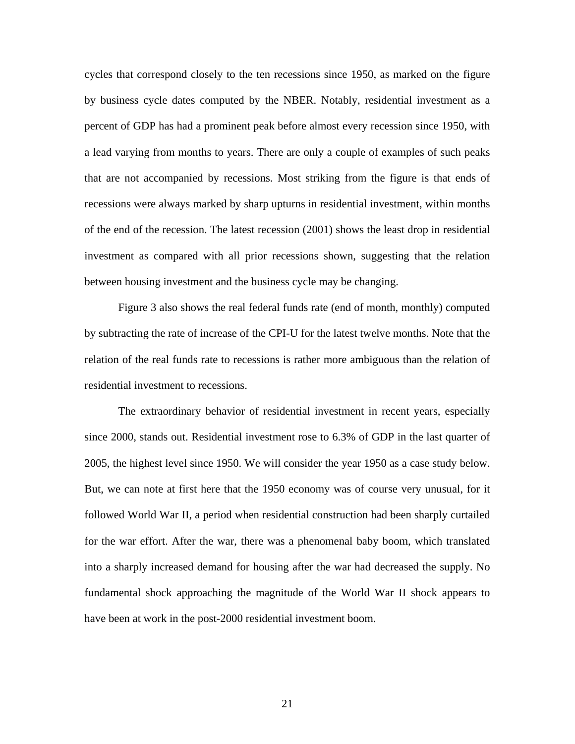cycles that correspond closely to the ten recessions since 1950, as marked on the figure by business cycle dates computed by the NBER. Notably, residential investment as a percent of GDP has had a prominent peak before almost every recession since 1950, with a lead varying from months to years. There are only a couple of examples of such peaks that are not accompanied by recessions. Most striking from the figure is that ends of recessions were always marked by sharp upturns in residential investment, within months of the end of the recession. The latest recession (2001) shows the least drop in residential investment as compared with all prior recessions shown, suggesting that the relation between housing investment and the business cycle may be changing.

Figure 3 also shows the real federal funds rate (end of month, monthly) computed by subtracting the rate of increase of the CPI-U for the latest twelve months. Note that the relation of the real funds rate to recessions is rather more ambiguous than the relation of residential investment to recessions.

The extraordinary behavior of residential investment in recent years, especially since 2000, stands out. Residential investment rose to 6.3% of GDP in the last quarter of 2005, the highest level since 1950. We will consider the year 1950 as a case study below. But, we can note at first here that the 1950 economy was of course very unusual, for it followed World War II, a period when residential construction had been sharply curtailed for the war effort. After the war, there was a phenomenal baby boom, which translated into a sharply increased demand for housing after the war had decreased the supply. No fundamental shock approaching the magnitude of the World War II shock appears to have been at work in the post-2000 residential investment boom.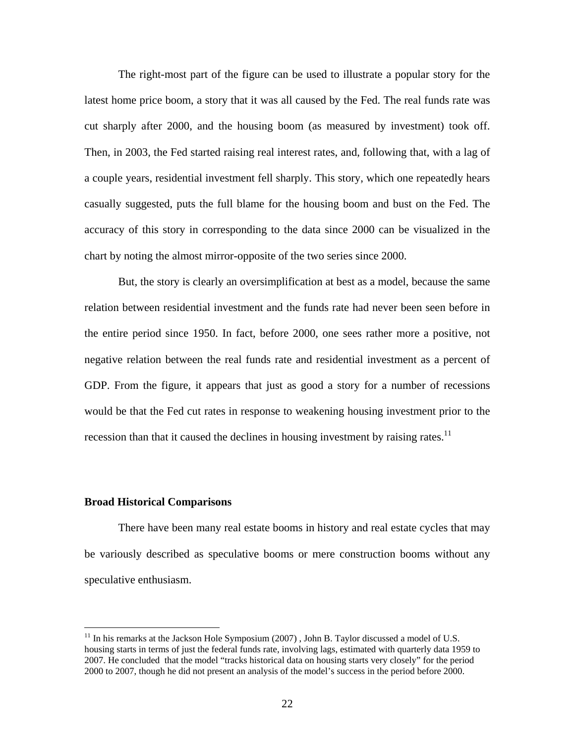The right-most part of the figure can be used to illustrate a popular story for the latest home price boom, a story that it was all caused by the Fed. The real funds rate was cut sharply after 2000, and the housing boom (as measured by investment) took off. Then, in 2003, the Fed started raising real interest rates, and, following that, with a lag of a couple years, residential investment fell sharply. This story, which one repeatedly hears casually suggested, puts the full blame for the housing boom and bust on the Fed. The accuracy of this story in corresponding to the data since 2000 can be visualized in the chart by noting the almost mirror-opposite of the two series since 2000.

But, the story is clearly an oversimplification at best as a model, because the same relation between residential investment and the funds rate had never been seen before in the entire period since 1950. In fact, before 2000, one sees rather more a positive, not negative relation between the real funds rate and residential investment as a percent of GDP. From the figure, it appears that just as good a story for a number of recessions would be that the Fed cut rates in response to weakening housing investment prior to the recession than that it caused the declines in housing investment by raising rates.<sup>11</sup>

#### **Broad Historical Comparisons**

<u>.</u>

 There have been many real estate booms in history and real estate cycles that may be variously described as speculative booms or mere construction booms without any speculative enthusiasm.

 $11$  In his remarks at the Jackson Hole Symposium (2007), John B. Taylor discussed a model of U.S. housing starts in terms of just the federal funds rate, involving lags, estimated with quarterly data 1959 to 2007. He concluded that the model "tracks historical data on housing starts very closely" for the period 2000 to 2007, though he did not present an analysis of the model's success in the period before 2000.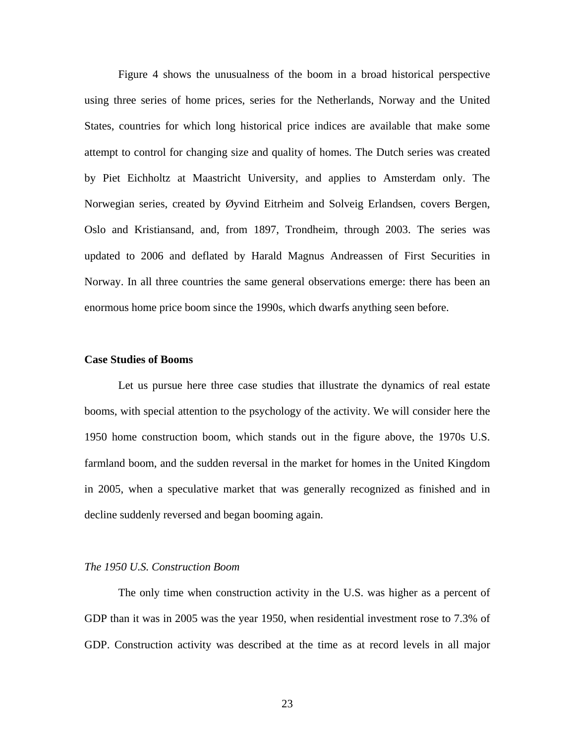Figure 4 shows the unusualness of the boom in a broad historical perspective using three series of home prices, series for the Netherlands, Norway and the United States, countries for which long historical price indices are available that make some attempt to control for changing size and quality of homes. The Dutch series was created by Piet Eichholtz at Maastricht University, and applies to Amsterdam only. The Norwegian series, created by Øyvind Eitrheim and Solveig Erlandsen, covers Bergen, Oslo and Kristiansand, and, from 1897, Trondheim, through 2003. The series was updated to 2006 and deflated by Harald Magnus Andreassen of First Securities in Norway. In all three countries the same general observations emerge: there has been an enormous home price boom since the 1990s, which dwarfs anything seen before.

## **Case Studies of Booms**

 Let us pursue here three case studies that illustrate the dynamics of real estate booms, with special attention to the psychology of the activity. We will consider here the 1950 home construction boom, which stands out in the figure above, the 1970s U.S. farmland boom, and the sudden reversal in the market for homes in the United Kingdom in 2005, when a speculative market that was generally recognized as finished and in decline suddenly reversed and began booming again.

#### *The 1950 U.S. Construction Boom*

 The only time when construction activity in the U.S. was higher as a percent of GDP than it was in 2005 was the year 1950, when residential investment rose to 7.3% of GDP. Construction activity was described at the time as at record levels in all major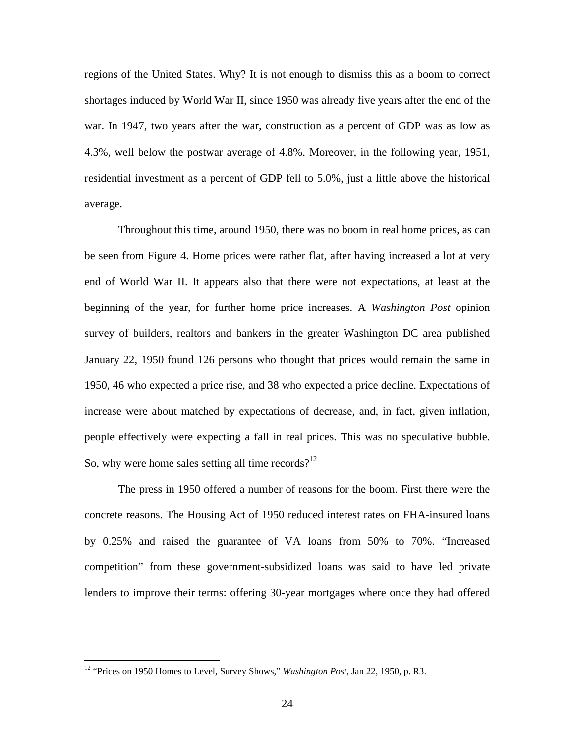regions of the United States. Why? It is not enough to dismiss this as a boom to correct shortages induced by World War II, since 1950 was already five years after the end of the war. In 1947, two years after the war, construction as a percent of GDP was as low as 4.3%, well below the postwar average of 4.8%. Moreover, in the following year, 1951, residential investment as a percent of GDP fell to 5.0%, just a little above the historical average.

Throughout this time, around 1950, there was no boom in real home prices, as can be seen from Figure 4. Home prices were rather flat, after having increased a lot at very end of World War II. It appears also that there were not expectations, at least at the beginning of the year, for further home price increases. A *Washington Post* opinion survey of builders, realtors and bankers in the greater Washington DC area published January 22, 1950 found 126 persons who thought that prices would remain the same in 1950, 46 who expected a price rise, and 38 who expected a price decline. Expectations of increase were about matched by expectations of decrease, and, in fact, given inflation, people effectively were expecting a fall in real prices. This was no speculative bubble. So, why were home sales setting all time records? $12$ 

 The press in 1950 offered a number of reasons for the boom. First there were the concrete reasons. The Housing Act of 1950 reduced interest rates on FHA-insured loans by 0.25% and raised the guarantee of VA loans from 50% to 70%. "Increased competition" from these government-subsidized loans was said to have led private lenders to improve their terms: offering 30-year mortgages where once they had offered

<sup>12 &</sup>quot;Prices on 1950 Homes to Level, Survey Shows," *Washington Post*, Jan 22, 1950, p. R3.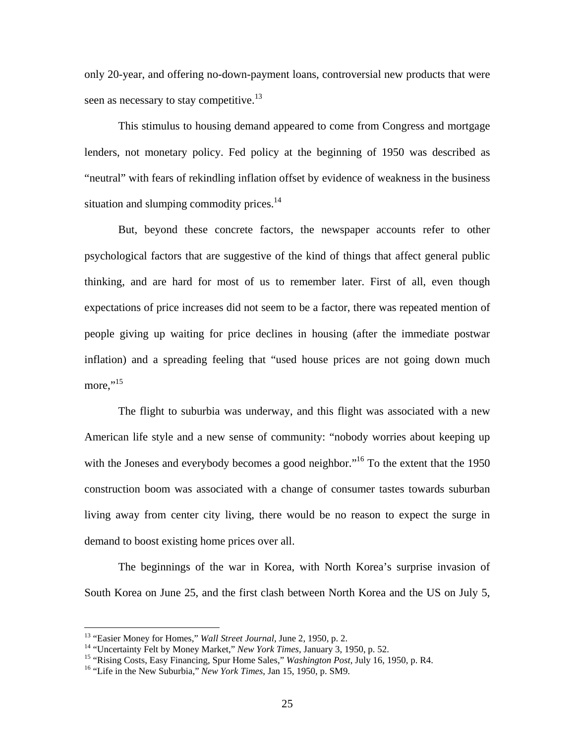only 20-year, and offering no-down-payment loans, controversial new products that were seen as necessary to stay competitive.<sup>13</sup>

This stimulus to housing demand appeared to come from Congress and mortgage lenders, not monetary policy. Fed policy at the beginning of 1950 was described as "neutral" with fears of rekindling inflation offset by evidence of weakness in the business situation and slumping commodity prices.<sup>14</sup>

But, beyond these concrete factors, the newspaper accounts refer to other psychological factors that are suggestive of the kind of things that affect general public thinking, and are hard for most of us to remember later. First of all, even though expectations of price increases did not seem to be a factor, there was repeated mention of people giving up waiting for price declines in housing (after the immediate postwar inflation) and a spreading feeling that "used house prices are not going down much more." $^{15}$ 

The flight to suburbia was underway, and this flight was associated with a new American life style and a new sense of community: "nobody worries about keeping up with the Joneses and everybody becomes a good neighbor."<sup>16</sup> To the extent that the 1950 construction boom was associated with a change of consumer tastes towards suburban living away from center city living, there would be no reason to expect the surge in demand to boost existing home prices over all.

The beginnings of the war in Korea, with North Korea's surprise invasion of South Korea on June 25, and the first clash between North Korea and the US on July 5,

<sup>&</sup>lt;sup>13</sup> "Easier Money for Homes," *Wall Street Journal*, June 2, 1950, p. 2.<br><sup>14</sup> "Uncertainty Felt by Money Market," *New York Times*, January 3, 1950, p. 52.<br><sup>15</sup> "Rising Costs, Easy Financing, Spur Home Sales," *Washingto*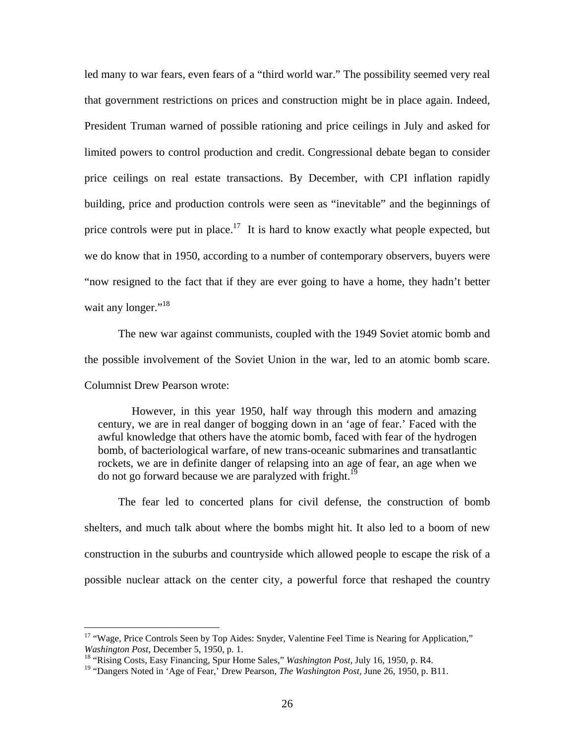led many to war fears, even fears of a "third world war." The possibility seemed very real that government restrictions on prices and construction might be in place again. Indeed, President Truman warned of possible rationing and price ceilings in July and asked for limited powers to control production and credit. Congressional debate began to consider price ceilings on real estate transactions. By December, with CPI inflation rapidly building, price and production controls were seen as "inevitable" and the beginnings of price controls were put in place.<sup>17</sup> It is hard to know exactly what people expected, but we do know that in 1950, according to a number of contemporary observers, buyers were "now resigned to the fact that if they are ever going to have a home, they hadn't better wait any longer."<sup>18</sup>

The new war against communists, coupled with the 1949 Soviet atomic bomb and the possible involvement of the Soviet Union in the war, led to an atomic bomb scare. Columnist Drew Pearson wrote:

However, in this year 1950, half way through this modern and amazing century, we are in real danger of bogging down in an 'age of fear.' Faced with the awful knowledge that others have the atomic bomb, faced with fear of the hydrogen bomb, of bacteriological warfare, of new trans-oceanic submarines and transatlantic rockets, we are in definite danger of relapsing into an age of fear, an age when we do not go forward because we are paralyzed with fright.<sup>19</sup>

The fear led to concerted plans for civil defense, the construction of bomb shelters, and much talk about where the bombs might hit. It also led to a boom of new construction in the suburbs and countryside which allowed people to escape the risk of a possible nuclear attack on the center city, a powerful force that reshaped the country

<sup>&</sup>lt;sup>17</sup> "Wage, Price Controls Seen by Top Aides: Snyder, Valentine Feel Time is Nearing for Application," Washington Post, December 5, 1950, p. 1.

<sup>&</sup>lt;sup>18</sup> "Rising Costs, Easy Financing, Spur Home Sales," *Washington Post*, July 16, 1950, p. R4.

<sup>19 &</sup>quot;Dangers Noted in 'Age of Fear,' Drew Pearson, *The Washington Post*, June 26, 1950, p. B11.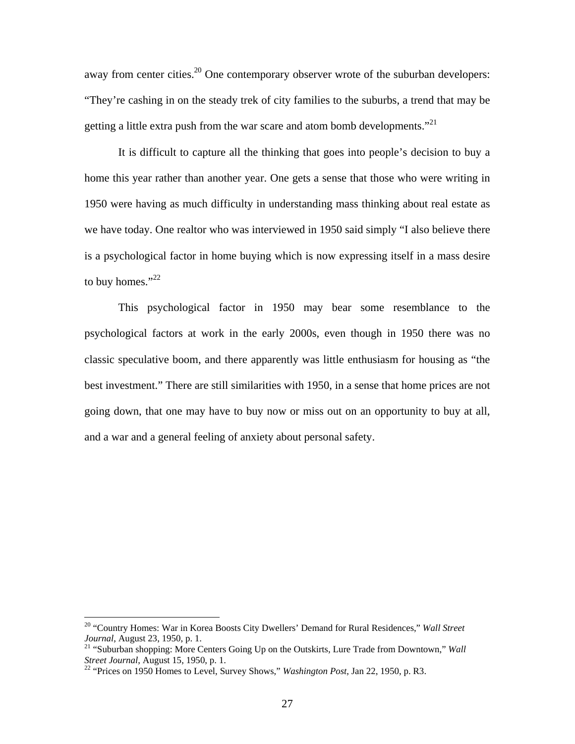away from center cities.<sup>20</sup> One contemporary observer wrote of the suburban developers: "They're cashing in on the steady trek of city families to the suburbs, a trend that may be getting a little extra push from the war scare and atom bomb developments."<sup>21</sup>

It is difficult to capture all the thinking that goes into people's decision to buy a home this year rather than another year. One gets a sense that those who were writing in 1950 were having as much difficulty in understanding mass thinking about real estate as we have today. One realtor who was interviewed in 1950 said simply "I also believe there is a psychological factor in home buying which is now expressing itself in a mass desire to buy homes." $^{22}$ 

This psychological factor in 1950 may bear some resemblance to the psychological factors at work in the early 2000s, even though in 1950 there was no classic speculative boom, and there apparently was little enthusiasm for housing as "the best investment." There are still similarities with 1950, in a sense that home prices are not going down, that one may have to buy now or miss out on an opportunity to buy at all, and a war and a general feeling of anxiety about personal safety.

<sup>20 &</sup>quot;Country Homes: War in Korea Boosts City Dwellers' Demand for Rural Residences," *Wall Street Journal*, August 23, 1950, p. 1.<br><sup>21</sup> "Suburban shopping: More Centers Going Up on the Outskirts, Lure Trade from Downtown," *Wall* 

*Street Journal*, August 15, 1950, p. 1.<br><sup>22</sup> "Prices on 1950 Homes to Level, Survey Shows," *Washington Post*, Jan 22, 1950, p. R3.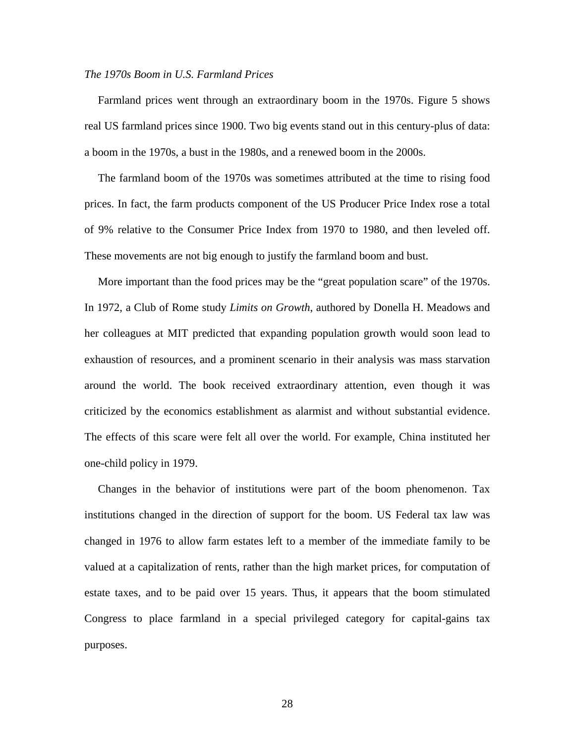### *The 1970s Boom in U.S. Farmland Prices*

Farmland prices went through an extraordinary boom in the 1970s. Figure 5 shows real US farmland prices since 1900. Two big events stand out in this century-plus of data: a boom in the 1970s, a bust in the 1980s, and a renewed boom in the 2000s.

The farmland boom of the 1970s was sometimes attributed at the time to rising food prices. In fact, the farm products component of the US Producer Price Index rose a total of 9% relative to the Consumer Price Index from 1970 to 1980, and then leveled off. These movements are not big enough to justify the farmland boom and bust.

More important than the food prices may be the "great population scare" of the 1970s. In 1972, a Club of Rome study *Limits on Growth*, authored by Donella H. Meadows and her colleagues at MIT predicted that expanding population growth would soon lead to exhaustion of resources, and a prominent scenario in their analysis was mass starvation around the world. The book received extraordinary attention, even though it was criticized by the economics establishment as alarmist and without substantial evidence. The effects of this scare were felt all over the world. For example, China instituted her one-child policy in 1979.

Changes in the behavior of institutions were part of the boom phenomenon. Tax institutions changed in the direction of support for the boom. US Federal tax law was changed in 1976 to allow farm estates left to a member of the immediate family to be valued at a capitalization of rents, rather than the high market prices, for computation of estate taxes, and to be paid over 15 years. Thus, it appears that the boom stimulated Congress to place farmland in a special privileged category for capital-gains tax purposes.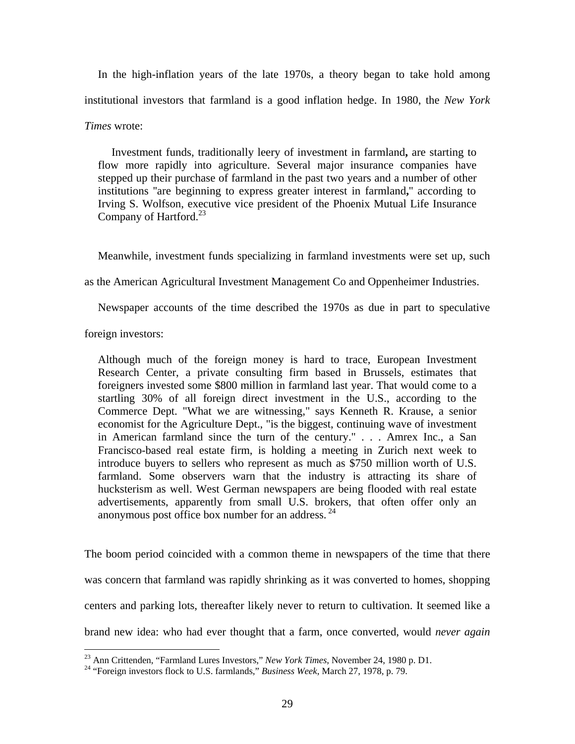In the high-inflation years of the late 1970s, a theory began to take hold among institutional investors that farmland is a good inflation hedge. In 1980, the *New York Times* wrote:

Investment funds, traditionally leery of investment in farmland**,** are starting to flow more rapidly into agriculture. Several major insurance companies have stepped up their purchase of farmland in the past two years and a number of other institutions ''are beginning to express greater interest in farmland**,**'' according to Irving S. Wolfson, executive vice president of the Phoenix Mutual Life Insurance Company of Hartford. $^{23}$ 

Meanwhile, investment funds specializing in farmland investments were set up, such

as the American Agricultural Investment Management Co and Oppenheimer Industries.

Newspaper accounts of the time described the 1970s as due in part to speculative

foreign investors:

Although much of the foreign money is hard to trace, European Investment Research Center, a private consulting firm based in Brussels, estimates that foreigners invested some \$800 million in farmland last year. That would come to a startling 30% of all foreign direct investment in the U.S., according to the Commerce Dept. "What we are witnessing," says Kenneth R. Krause, a senior economist for the Agriculture Dept., "is the biggest, continuing wave of investment in American farmland since the turn of the century." . . . Amrex Inc., a San Francisco-based real estate firm, is holding a meeting in Zurich next week to introduce buyers to sellers who represent as much as \$750 million worth of U.S. farmland. Some observers warn that the industry is attracting its share of hucksterism as well. West German newspapers are being flooded with real estate advertisements, apparently from small U.S. brokers, that often offer only an anonymous post office box number for an address.<sup>24</sup>

The boom period coincided with a common theme in newspapers of the time that there was concern that farmland was rapidly shrinking as it was converted to homes, shopping centers and parking lots, thereafter likely never to return to cultivation. It seemed like a brand new idea: who had ever thought that a farm, once converted, would *never again*

<sup>&</sup>lt;sup>23</sup> Ann Crittenden, "Farmland Lures Investors," New York Times, November 24, 1980 p. D1.

<sup>&</sup>lt;sup>24</sup> "Foreign investors flock to U.S. farmlands," *Business Week*, March 27, 1978, p. 79.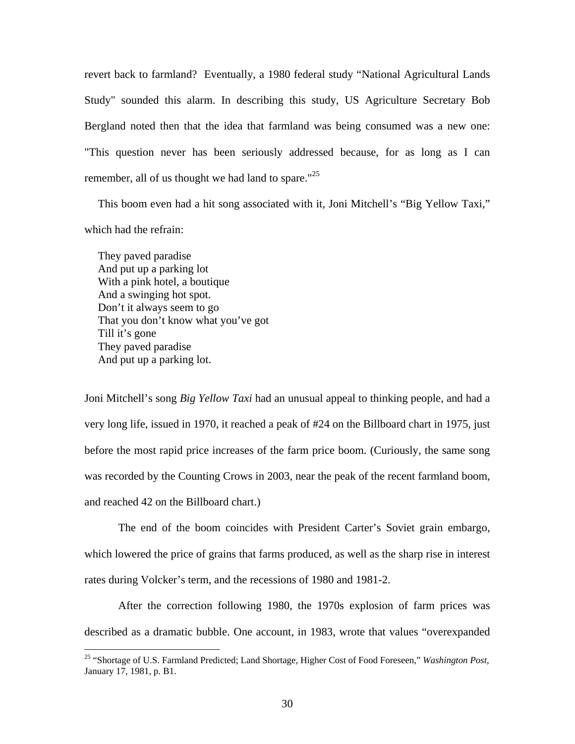revert back to farmland? Eventually, a 1980 federal study "National Agricultural Lands Study" sounded this alarm. In describing this study, US Agriculture Secretary Bob Bergland noted then that the idea that farmland was being consumed was a new one: "This question never has been seriously addressed because, for as long as I can remember, all of us thought we had land to spare." $25$ 

This boom even had a hit song associated with it, Joni Mitchell's "Big Yellow Taxi," which had the refrain:

They paved paradise And put up a parking lot With a pink hotel, a boutique And a swinging hot spot. Don't it always seem to go That you don't know what you've got Till it's gone They paved paradise And put up a parking lot.

 $\overline{a}$ 

Joni Mitchell's song *Big Yellow Taxi* had an unusual appeal to thinking people, and had a very long life, issued in 1970, it reached a peak of #24 on the Billboard chart in 1975, just before the most rapid price increases of the farm price boom. (Curiously, the same song was recorded by the Counting Crows in 2003, near the peak of the recent farmland boom, and reached 42 on the Billboard chart.)

The end of the boom coincides with President Carter's Soviet grain embargo, which lowered the price of grains that farms produced, as well as the sharp rise in interest rates during Volcker's term, and the recessions of 1980 and 1981-2.

After the correction following 1980, the 1970s explosion of farm prices was described as a dramatic bubble. One account, in 1983, wrote that values "overexpanded

<sup>25 &</sup>quot;Shortage of U.S. Farmland Predicted; Land Shortage, Higher Cost of Food Foreseen," *Washington Post*, January 17, 1981, p. B1.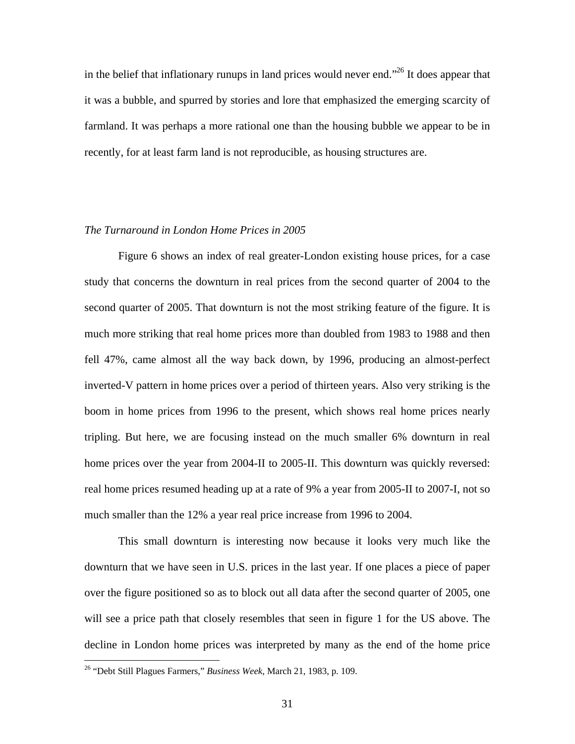in the belief that inflationary runups in land prices would never end."26 It does appear that it was a bubble, and spurred by stories and lore that emphasized the emerging scarcity of farmland. It was perhaps a more rational one than the housing bubble we appear to be in recently, for at least farm land is not reproducible, as housing structures are.

## *The Turnaround in London Home Prices in 2005*

 Figure 6 shows an index of real greater-London existing house prices, for a case study that concerns the downturn in real prices from the second quarter of 2004 to the second quarter of 2005. That downturn is not the most striking feature of the figure. It is much more striking that real home prices more than doubled from 1983 to 1988 and then fell 47%, came almost all the way back down, by 1996, producing an almost-perfect inverted-V pattern in home prices over a period of thirteen years. Also very striking is the boom in home prices from 1996 to the present, which shows real home prices nearly tripling. But here, we are focusing instead on the much smaller 6% downturn in real home prices over the year from 2004-II to 2005-II. This downturn was quickly reversed: real home prices resumed heading up at a rate of 9% a year from 2005-II to 2007-I, not so much smaller than the 12% a year real price increase from 1996 to 2004.

This small downturn is interesting now because it looks very much like the downturn that we have seen in U.S. prices in the last year. If one places a piece of paper over the figure positioned so as to block out all data after the second quarter of 2005, one will see a price path that closely resembles that seen in figure 1 for the US above. The decline in London home prices was interpreted by many as the end of the home price

<sup>26 &</sup>quot;Debt Still Plagues Farmers," *Business Week*, March 21, 1983, p. 109.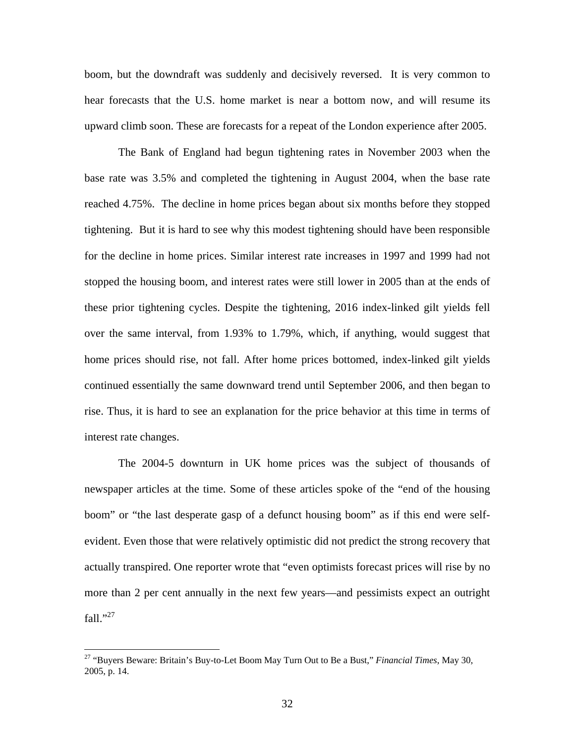boom, but the downdraft was suddenly and decisively reversed. It is very common to hear forecasts that the U.S. home market is near a bottom now, and will resume its upward climb soon. These are forecasts for a repeat of the London experience after 2005.

 The Bank of England had begun tightening rates in November 2003 when the base rate was 3.5% and completed the tightening in August 2004, when the base rate reached 4.75%. The decline in home prices began about six months before they stopped tightening. But it is hard to see why this modest tightening should have been responsible for the decline in home prices. Similar interest rate increases in 1997 and 1999 had not stopped the housing boom, and interest rates were still lower in 2005 than at the ends of these prior tightening cycles. Despite the tightening, 2016 index-linked gilt yields fell over the same interval, from 1.93% to 1.79%, which, if anything, would suggest that home prices should rise, not fall. After home prices bottomed, index-linked gilt yields continued essentially the same downward trend until September 2006, and then began to rise. Thus, it is hard to see an explanation for the price behavior at this time in terms of interest rate changes.

 The 2004-5 downturn in UK home prices was the subject of thousands of newspaper articles at the time. Some of these articles spoke of the "end of the housing boom" or "the last desperate gasp of a defunct housing boom" as if this end were selfevident. Even those that were relatively optimistic did not predict the strong recovery that actually transpired. One reporter wrote that "even optimists forecast prices will rise by no more than 2 per cent annually in the next few years—and pessimists expect an outright fall." $^{27}$ 

<sup>27 &</sup>quot;Buyers Beware: Britain's Buy-to-Let Boom May Turn Out to Be a Bust," *Financial Times*, May 30, 2005, p. 14.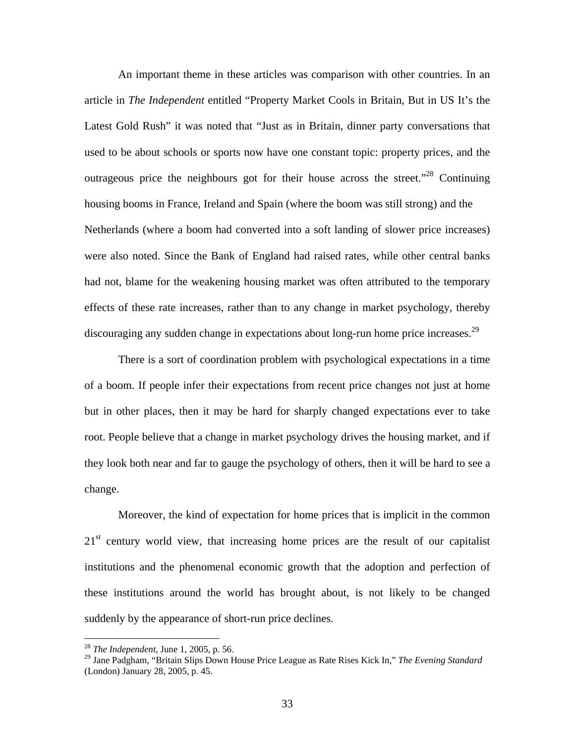An important theme in these articles was comparison with other countries. In an article in *The Independent* entitled "Property Market Cools in Britain, But in US It's the Latest Gold Rush" it was noted that "Just as in Britain, dinner party conversations that used to be about schools or sports now have one constant topic: property prices, and the outrageous price the neighbours got for their house across the street.<sup> $28$ </sup> Continuing housing booms in France, Ireland and Spain (where the boom was still strong) and the Netherlands (where a boom had converted into a soft landing of slower price increases) were also noted. Since the Bank of England had raised rates, while other central banks had not, blame for the weakening housing market was often attributed to the temporary effects of these rate increases, rather than to any change in market psychology, thereby discouraging any sudden change in expectations about long-run home price increases.<sup>29</sup>

 There is a sort of coordination problem with psychological expectations in a time of a boom. If people infer their expectations from recent price changes not just at home but in other places, then it may be hard for sharply changed expectations ever to take root. People believe that a change in market psychology drives the housing market, and if they look both near and far to gauge the psychology of others, then it will be hard to see a change.

 Moreover, the kind of expectation for home prices that is implicit in the common  $21<sup>st</sup>$  century world view, that increasing home prices are the result of our capitalist institutions and the phenomenal economic growth that the adoption and perfection of these institutions around the world has brought about, is not likely to be changed suddenly by the appearance of short-run price declines.

<sup>28</sup> *The Independent*, June 1, 2005, p. 56.

<sup>29</sup> Jane Padgham, "Britain Slips Down House Price League as Rate Rises Kick In," *The Evening Standard* (London) January 28, 2005, p. 45.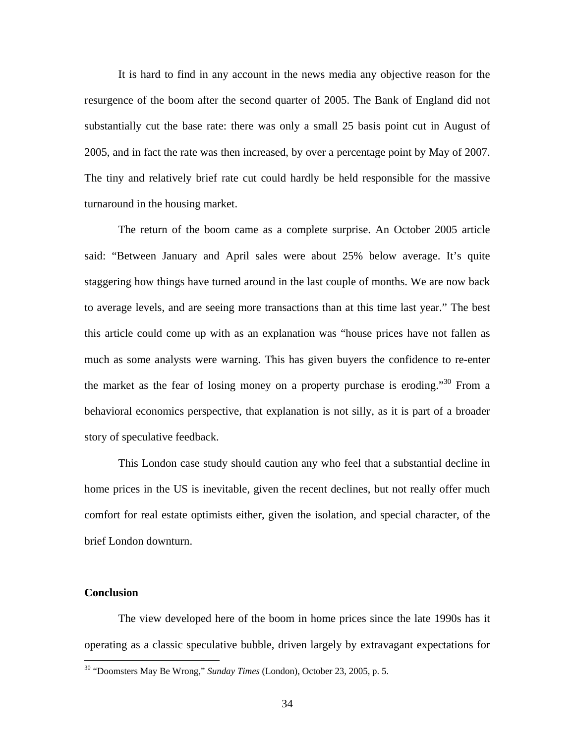It is hard to find in any account in the news media any objective reason for the resurgence of the boom after the second quarter of 2005. The Bank of England did not substantially cut the base rate: there was only a small 25 basis point cut in August of 2005, and in fact the rate was then increased, by over a percentage point by May of 2007. The tiny and relatively brief rate cut could hardly be held responsible for the massive turnaround in the housing market.

The return of the boom came as a complete surprise. An October 2005 article said: "Between January and April sales were about 25% below average. It's quite staggering how things have turned around in the last couple of months. We are now back to average levels, and are seeing more transactions than at this time last year." The best this article could come up with as an explanation was "house prices have not fallen as much as some analysts were warning. This has given buyers the confidence to re-enter the market as the fear of losing money on a property purchase is eroding."<sup>30</sup> From a behavioral economics perspective, that explanation is not silly, as it is part of a broader story of speculative feedback.

This London case study should caution any who feel that a substantial decline in home prices in the US is inevitable, given the recent declines, but not really offer much comfort for real estate optimists either, given the isolation, and special character, of the brief London downturn.

## **Conclusion**

 $\overline{a}$ 

The view developed here of the boom in home prices since the late 1990s has it operating as a classic speculative bubble, driven largely by extravagant expectations for

<sup>30 &</sup>quot;Doomsters May Be Wrong," *Sunday Times* (London), October 23, 2005, p. 5.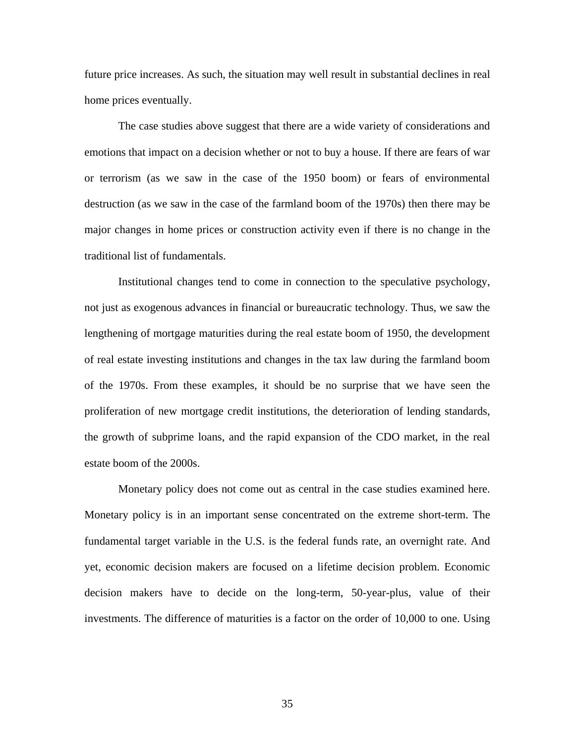future price increases. As such, the situation may well result in substantial declines in real home prices eventually.

The case studies above suggest that there are a wide variety of considerations and emotions that impact on a decision whether or not to buy a house. If there are fears of war or terrorism (as we saw in the case of the 1950 boom) or fears of environmental destruction (as we saw in the case of the farmland boom of the 1970s) then there may be major changes in home prices or construction activity even if there is no change in the traditional list of fundamentals.

Institutional changes tend to come in connection to the speculative psychology, not just as exogenous advances in financial or bureaucratic technology. Thus, we saw the lengthening of mortgage maturities during the real estate boom of 1950, the development of real estate investing institutions and changes in the tax law during the farmland boom of the 1970s. From these examples, it should be no surprise that we have seen the proliferation of new mortgage credit institutions, the deterioration of lending standards, the growth of subprime loans, and the rapid expansion of the CDO market, in the real estate boom of the 2000s.

Monetary policy does not come out as central in the case studies examined here. Monetary policy is in an important sense concentrated on the extreme short-term. The fundamental target variable in the U.S. is the federal funds rate, an overnight rate. And yet, economic decision makers are focused on a lifetime decision problem. Economic decision makers have to decide on the long-term, 50-year-plus, value of their investments. The difference of maturities is a factor on the order of 10,000 to one. Using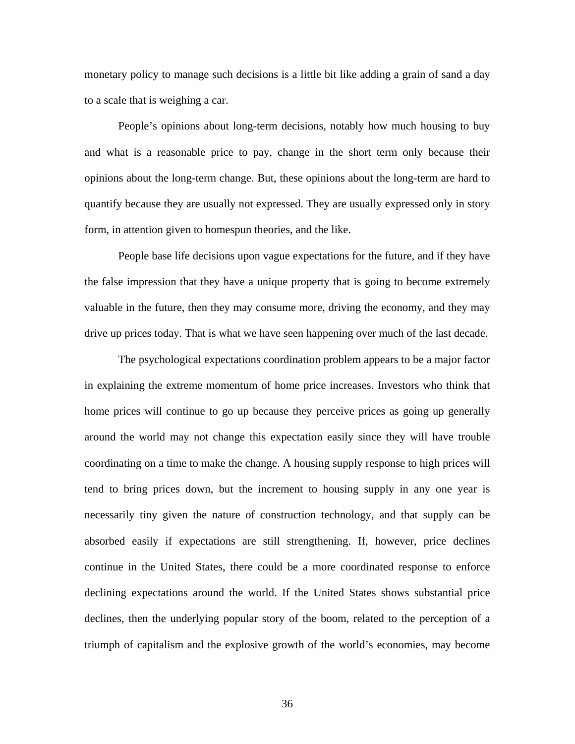monetary policy to manage such decisions is a little bit like adding a grain of sand a day to a scale that is weighing a car.

People's opinions about long-term decisions, notably how much housing to buy and what is a reasonable price to pay, change in the short term only because their opinions about the long-term change. But, these opinions about the long-term are hard to quantify because they are usually not expressed. They are usually expressed only in story form, in attention given to homespun theories, and the like.

People base life decisions upon vague expectations for the future, and if they have the false impression that they have a unique property that is going to become extremely valuable in the future, then they may consume more, driving the economy, and they may drive up prices today. That is what we have seen happening over much of the last decade.

The psychological expectations coordination problem appears to be a major factor in explaining the extreme momentum of home price increases. Investors who think that home prices will continue to go up because they perceive prices as going up generally around the world may not change this expectation easily since they will have trouble coordinating on a time to make the change. A housing supply response to high prices will tend to bring prices down, but the increment to housing supply in any one year is necessarily tiny given the nature of construction technology, and that supply can be absorbed easily if expectations are still strengthening. If, however, price declines continue in the United States, there could be a more coordinated response to enforce declining expectations around the world. If the United States shows substantial price declines, then the underlying popular story of the boom, related to the perception of a triumph of capitalism and the explosive growth of the world's economies, may become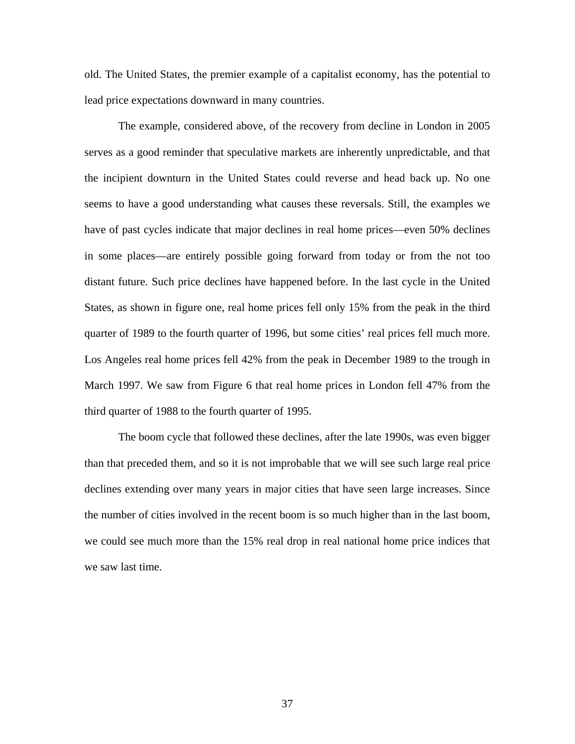old. The United States, the premier example of a capitalist economy, has the potential to lead price expectations downward in many countries.

The example, considered above, of the recovery from decline in London in 2005 serves as a good reminder that speculative markets are inherently unpredictable, and that the incipient downturn in the United States could reverse and head back up. No one seems to have a good understanding what causes these reversals. Still, the examples we have of past cycles indicate that major declines in real home prices—even 50% declines in some places—are entirely possible going forward from today or from the not too distant future. Such price declines have happened before. In the last cycle in the United States, as shown in figure one, real home prices fell only 15% from the peak in the third quarter of 1989 to the fourth quarter of 1996, but some cities' real prices fell much more. Los Angeles real home prices fell 42% from the peak in December 1989 to the trough in March 1997. We saw from Figure 6 that real home prices in London fell 47% from the third quarter of 1988 to the fourth quarter of 1995.

The boom cycle that followed these declines, after the late 1990s, was even bigger than that preceded them, and so it is not improbable that we will see such large real price declines extending over many years in major cities that have seen large increases. Since the number of cities involved in the recent boom is so much higher than in the last boom, we could see much more than the 15% real drop in real national home price indices that we saw last time.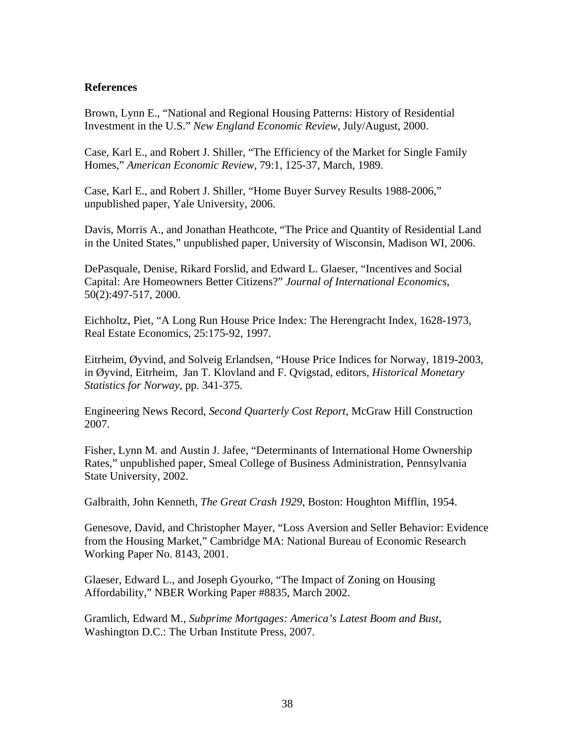# **References**

Brown, Lynn E., "National and Regional Housing Patterns: History of Residential Investment in the U.S." *New England Economic Review*, July/August, 2000.

Case, Karl E., and Robert J. Shiller, "The Efficiency of the Market for Single Family Homes," *American Economic Review*, 79:1, 125-37, March, 1989.

Case, Karl E., and Robert J. Shiller, "Home Buyer Survey Results 1988-2006," unpublished paper, Yale University, 2006.

Davis, Morris A., and Jonathan Heathcote, "The Price and Quantity of Residential Land in the United States," unpublished paper, University of Wisconsin, Madison WI, 2006.

DePasquale, Denise, Rikard Forslid, and Edward L. Glaeser, "Incentives and Social Capital: Are Homeowners Better Citizens?" *Journal of International Economics*, 50(2):497-517, 2000.

Eichholtz, Piet, "A Long Run House Price Index: The Herengracht Index, 1628-1973, Real Estate Economics, 25:175-92, 1997.

Eitrheim, Øyvind, and Solveig Erlandsen, "House Price Indices for Norway, 1819-2003, in Øyvind, Eitrheim, Jan T. Klovland and F. Qvigstad, editors, *Historical Monetary Statistics for Norway*, pp. 341-375.

Engineering News Record, *Second Quarterly Cost Report*, McGraw Hill Construction 2007.

Fisher, Lynn M. and Austin J. Jafee, "Determinants of International Home Ownership Rates," unpublished paper, Smeal College of Business Administration, Pennsylvania State University, 2002.

Galbraith, John Kenneth, *The Great Crash 1929*, Boston: Houghton Mifflin, 1954.

Genesove, David, and Christopher Mayer, "Loss Aversion and Seller Behavior: Evidence from the Housing Market," Cambridge MA: National Bureau of Economic Research Working Paper No. 8143, 2001.

Glaeser, Edward L., and Joseph Gyourko, "The Impact of Zoning on Housing Affordability," NBER Working Paper #8835, March 2002.

Gramlich, Edward M., *Subprime Mortgages: America's Latest Boom and Bust*, Washington D.C.: The Urban Institute Press, 2007.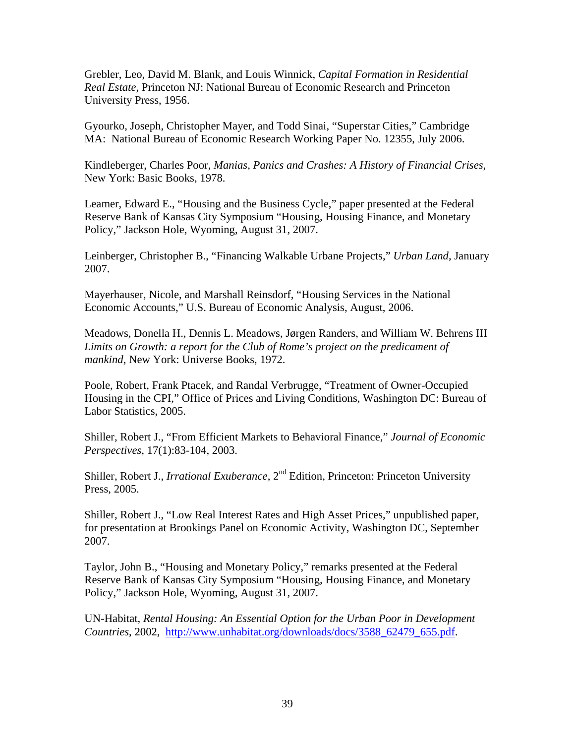Grebler, Leo, David M. Blank, and Louis Winnick, *Capital Formation in Residential Real Estate*, Princeton NJ: National Bureau of Economic Research and Princeton University Press, 1956.

Gyourko, Joseph, Christopher Mayer, and Todd Sinai, "Superstar Cities," Cambridge MA: National Bureau of Economic Research Working Paper No. 12355, July 2006.

Kindleberger, Charles Poor, *Manias, Panics and Crashes: A History of Financial Crises*, New York: Basic Books, 1978.

Leamer, Edward E., "Housing and the Business Cycle," paper presented at the Federal Reserve Bank of Kansas City Symposium "Housing, Housing Finance, and Monetary Policy," Jackson Hole, Wyoming, August 31, 2007.

Leinberger, Christopher B., "Financing Walkable Urbane Projects," *Urban Land*, January 2007.

Mayerhauser, Nicole, and Marshall Reinsdorf, "Housing Services in the National Economic Accounts," U.S. Bureau of Economic Analysis, August, 2006.

Meadows, Donella H., Dennis L. Meadows, Jørgen Randers, and William W. Behrens III *Limits on Growth: a report for the Club of Rome's project on the predicament of mankind*, New York: Universe Books, 1972.

Poole, Robert, Frank Ptacek, and Randal Verbrugge, "Treatment of Owner-Occupied Housing in the CPI," Office of Prices and Living Conditions, Washington DC: Bureau of Labor Statistics, 2005.

Shiller, Robert J., "From Efficient Markets to Behavioral Finance," *Journal of Economic Perspectives*, 17(1):83-104, 2003.

Shiller, Robert J., *Irrational Exuberance*, 2<sup>nd</sup> Edition, Princeton: Princeton University Press, 2005.

Shiller, Robert J., "Low Real Interest Rates and High Asset Prices," unpublished paper, for presentation at Brookings Panel on Economic Activity, Washington DC, September 2007.

Taylor, John B., "Housing and Monetary Policy," remarks presented at the Federal Reserve Bank of Kansas City Symposium "Housing, Housing Finance, and Monetary Policy," Jackson Hole, Wyoming, August 31, 2007.

UN-Habitat, *Rental Housing: An Essential Option for the Urban Poor in Development Countries*, 2002, http://www.unhabitat.org/downloads/docs/3588\_62479\_655.pdf.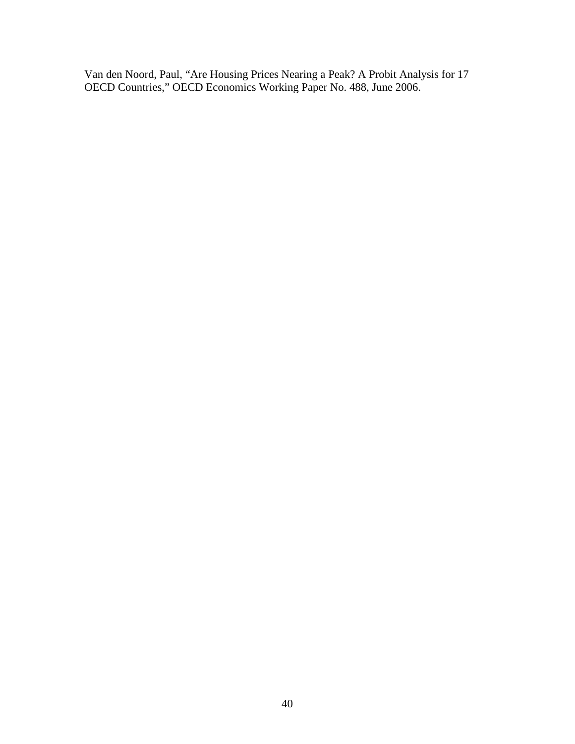Van den Noord, Paul, "Are Housing Prices Nearing a Peak? A Probit Analysis for 17 OECD Countries," OECD Economics Working Paper No. 488, June 2006.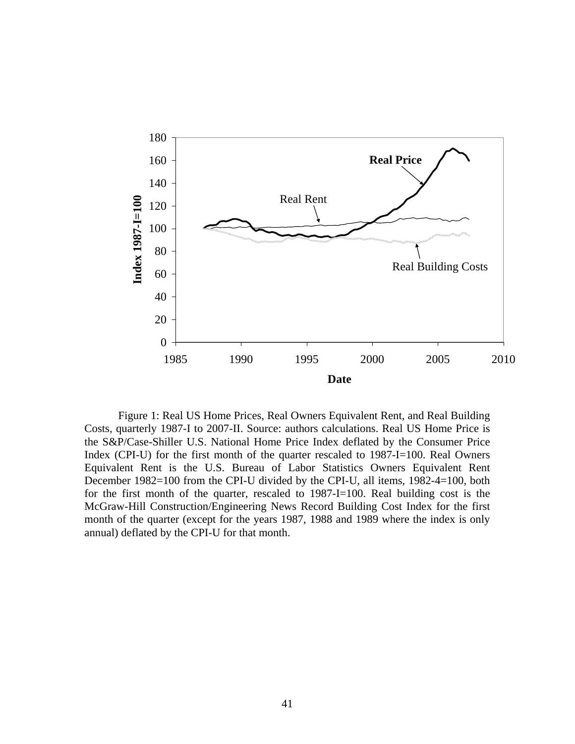

Figure 1: Real US Home Prices, Real Owners Equivalent Rent, and Real Building Costs, quarterly 1987-I to 2007-II. Source: authors calculations. Real US Home Price is the S&P/Case-Shiller U.S. National Home Price Index deflated by the Consumer Price Index (CPI-U) for the first month of the quarter rescaled to 1987-I=100. Real Owners Equivalent Rent is the U.S. Bureau of Labor Statistics Owners Equivalent Rent December 1982=100 from the CPI-U divided by the CPI-U, all items, 1982-4=100, both for the first month of the quarter, rescaled to 1987-I=100. Real building cost is the McGraw-Hill Construction/Engineering News Record Building Cost Index for the first month of the quarter (except for the years 1987, 1988 and 1989 where the index is only annual) deflated by the CPI-U for that month.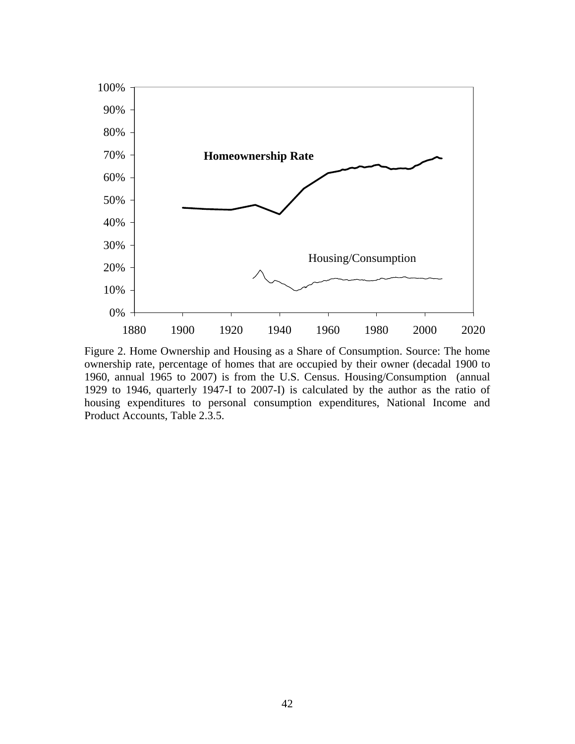

Figure 2. Home Ownership and Housing as a Share of Consumption. Source: The home ownership rate, percentage of homes that are occupied by their owner (decadal 1900 to 1960, annual 1965 to 2007) is from the U.S. Census. Housing/Consumption (annual 1929 to 1946, quarterly 1947-I to 2007-I) is calculated by the author as the ratio of housing expenditures to personal consumption expenditures, National Income and Product Accounts, Table 2.3.5.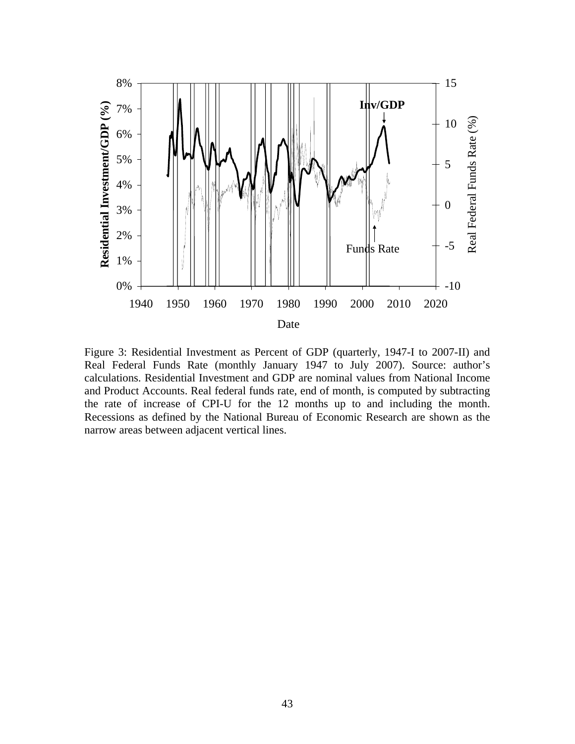

Figure 3: Residential Investment as Percent of GDP (quarterly, 1947-I to 2007-II) and Real Federal Funds Rate (monthly January 1947 to July 2007). Source: author's calculations. Residential Investment and GDP are nominal values from National Income and Product Accounts. Real federal funds rate, end of month, is computed by subtracting the rate of increase of CPI-U for the 12 months up to and including the month. Recessions as defined by the National Bureau of Economic Research are shown as the narrow areas between adjacent vertical lines.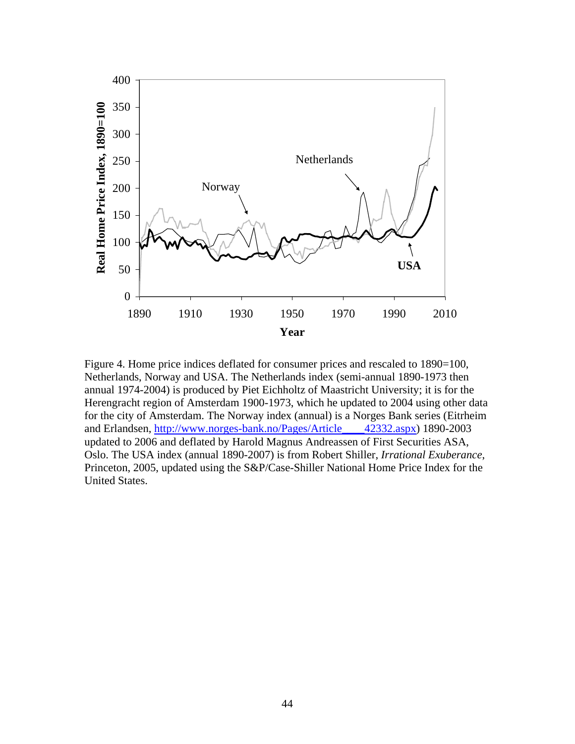

Figure 4. Home price indices deflated for consumer prices and rescaled to 1890=100, Netherlands, Norway and USA. The Netherlands index (semi-annual 1890-1973 then annual 1974-2004) is produced by Piet Eichholtz of Maastricht University; it is for the Herengracht region of Amsterdam 1900-1973, which he updated to 2004 using other data for the city of Amsterdam. The Norway index (annual) is a Norges Bank series (Eitrheim and Erlandsen, http://www.norges-bank.no/Pages/Article\_\_\_\_42332.aspx) 1890-2003 updated to 2006 and deflated by Harold Magnus Andreassen of First Securities ASA, Oslo. The USA index (annual 1890-2007) is from Robert Shiller, *Irrational Exuberance*, Princeton, 2005, updated using the S&P/Case-Shiller National Home Price Index for the United States.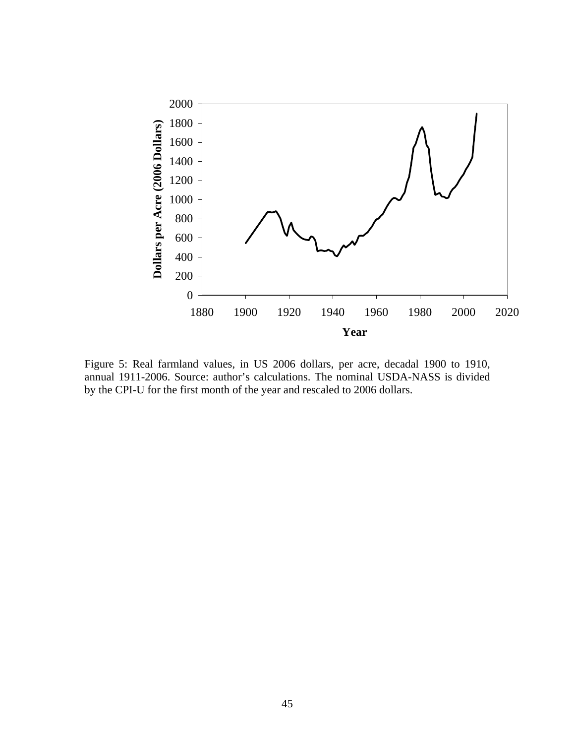

Figure 5: Real farmland values, in US 2006 dollars, per acre, decadal 1900 to 1910, annual 1911-2006. Source: author's calculations. The nominal USDA-NASS is divided by the CPI-U for the first month of the year and rescaled to 2006 dollars.